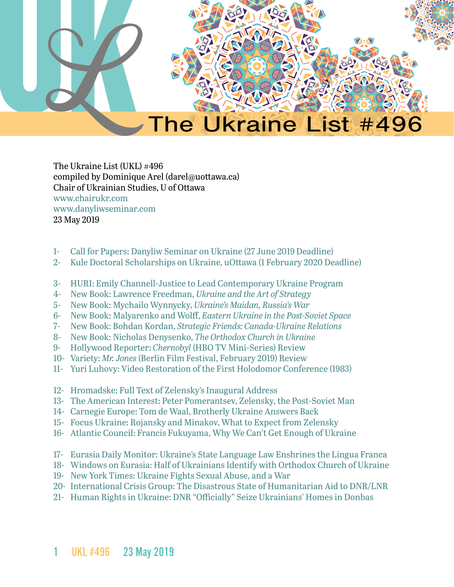

The Ukraine List (UKL) #496 compiled by Dominique Arel (darel@uottawa.ca) Chair of Ukrainian Studies, U of Ottawa [www.chairukr.com](http://www.chairukr.com) [www.danyliwseminar.com](http://www.danyliwseminar.com) 23 May 2019

- <span id="page-0-0"></span>1- [Call for Papers: Danyliw Seminar on Ukraine \(27 June 2019 Deadline\)](#page-1-0)
- 2- [Kule Doctoral Scholarships on Ukraine, uOttawa \(1 February 2020 Deadline\)](#page-3-0)
- 3- [HURI: Emily Channell-Justice to Lead Contemporary Ukraine Program](#page-4-0)
- 4- [New Book: Lawrence Freedman,](#page-5-0) *Ukraine and the Art of Strategy*
- 5- [New Book: Mychailo Wynnycky,](#page-6-0) *Ukraine's Maidan, Russia's War*
- 6- New Book: Malyarenko and Wolff, *[Eastern Ukraine in the Post-Soviet Space](#page-6-1)*
- 7- New Book: Bohdan Kordan, *[Strategic Friends: Canada-Ukraine Relations](#page-7-0)*
- 8- [New Book: Nicholas Denysenko,](#page-8-0) *The Orthodox Church in Ukraine*
- 9- Hollywood Reporter: *Chernobyl* [\(HBO TV Mini-Series\) Review](#page-9-0)
- 10- Variety: *Mr. Jones* (Berlin Film Festival, February 2019) Review
- 11- [Yuri Luhovy: Video Restoration of the First Holodomor Conference \(1983\)](#page-14-0)
- 12- Hromadske: Full Text of Zelensky's Inaugural Address
- 13- [The American Interest: Peter Pomerantsev, Zelensky, the Post-Soviet Man](#page-22-0)
- 14- [Carnegie Europe: Tom de Waal, Brotherly Ukraine Answers Back](#page-24-0)
- 15- Focus Ukraine: Rojansky and Minakov, What to Expect from Zelensky
- 16- Atlantic Council: Francis Fukuyama, Why We Can't Get Enough of Ukraine
- 17- Eurasia Daily Monitor: Ukraine's State Language Law Enshrines the Lingua Franca
- 18- [Windows on Eurasia: Half of Ukrainians Identify with Orthodox Church of Ukraine](#page-35-0)
- 19- New York Times: Ukraine Fights Sexual Abuse, and a War
- 20- [International Crisis Group: The Disastrous State of Humanitarian Aid to DNR/LNR](#page-39-0)
- 21- Human Rights in Ukraine: DNR "Officially" Seize Ukrainians' Homes in Donbas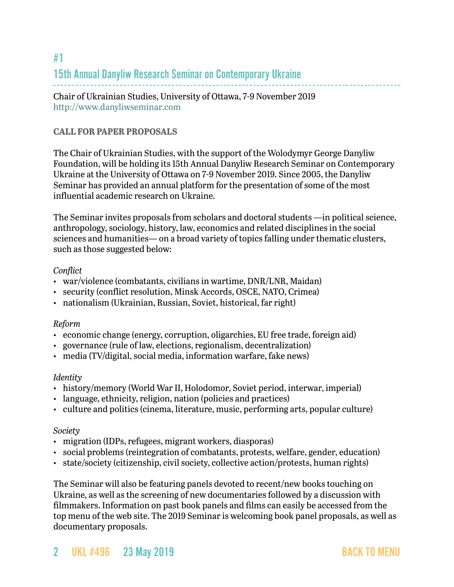# <span id="page-1-0"></span>#1 15th Annual Danyliw Research Seminar on Contemporary Ukraine

Chair of Ukrainian Studies, University of Ottawa, 7-9 November 2019 <http://www.danyliwseminar.com>

#### **CALL FOR PAPER PROPOSALS**

The Chair of Ukrainian Studies, with the support of the Wolodymyr George Danyliw Foundation, will be holding its 15th Annual Danyliw Research Seminar on Contemporary Ukraine at the University of Ottawa on 7-9 November 2019. Since 2005, the Danyliw Seminar has provided an annual platform for the presentation of some of the most influential academic research on Ukraine.

The Seminar invites proposals from scholars and doctoral students —in political science, anthropology, sociology, history, law, economics and related disciplines in the social sciences and humanities— on a broad variety of topics falling under thematic clusters, such as those suggested below:

#### *Conflict*

- war/violence (combatants, civilians in wartime, DNR/LNR, Maidan)
- security (conflict resolution, Minsk Accords, OSCE, NATO, Crimea)
- nationalism (Ukrainian, Russian, Soviet, historical, far right)

#### *Reform*

- economic change (energy, corruption, oligarchies, EU free trade, foreign aid)
- governance (rule of law, elections, regionalism, decentralization)
- media (TV/digital, social media, information warfare, fake news)

#### *Identity*

- history/memory (World War II, Holodomor, Soviet period, interwar, imperial)
- language, ethnicity, religion, nation (policies and practices)
- culture and politics (cinema, literature, music, performing arts, popular culture)

#### *Society*

- migration (IDPs, refugees, migrant workers, diasporas)
- social problems (reintegration of combatants, protests, welfare, gender, education)
- state/society (citizenship, civil society, collective action/protests, human rights)

The Seminar will also be featuring panels devoted to recent/new books touching on Ukraine, as well as the screening of new documentaries followed by a discussion with filmmakers. Information on past book panels and films can easily be accessed from the top menu of the web site. The 2019 Seminar is welcoming book panel proposals, as well as documentary proposals.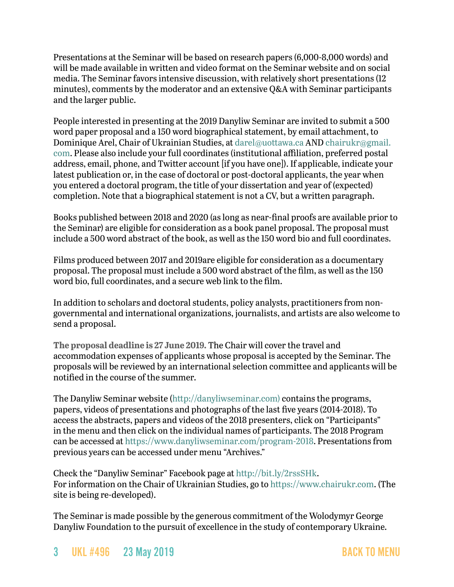Presentations at the Seminar will be based on research papers (6,000-8,000 words) and will be made available in written and video format on the Seminar website and on social media. The Seminar favors intensive discussion, with relatively short presentations (12 minutes), comments by the moderator and an extensive Q&A with Seminar participants and the larger public.

People interested in presenting at the 2019 Danyliw Seminar are invited to submit a 500 word paper proposal and a 150 word biographical statement, by email attachment, to Dominique Arel, Chair of Ukrainian Studies, at [darel@uottawa.ca](mailto:darel@uottawa.ca) AND [chairukr@gmail.](mailto:chairukr@gmail.com) [com](mailto:chairukr@gmail.com). Please also include your full coordinates (institutional affiliation, preferred postal address, email, phone, and Twitter account [if you have one]). If applicable, indicate your latest publication or, in the case of doctoral or post-doctoral applicants, the year when you entered a doctoral program, the title of your dissertation and year of (expected) completion. Note that a biographical statement is not a CV, but a written paragraph.

Books published between 2018 and 2020 (as long as near-final proofs are available prior to the Seminar) are eligible for consideration as a book panel proposal. The proposal must include a 500 word abstract of the book, as well as the 150 word bio and full coordinates.

Films produced between 2017 and 2019are eligible for consideration as a documentary proposal. The proposal must include a 500 word abstract of the film, as well as the 150 word bio, full coordinates, and a secure web link to the film.

In addition to scholars and doctoral students, policy analysts, practitioners from nongovernmental and international organizations, journalists, and artists are also welcome to send a proposal.

**The proposal deadline is 27 June 2019.** The Chair will cover the travel and accommodation expenses of applicants whose proposal is accepted by the Seminar. The proposals will be reviewed by an international selection committee and applicants will be notified in the course of the summer.

The Danyliw Seminar website [\(http://danyliwseminar.com\)](http://danyliwseminar.com)) contains the programs, papers, videos of presentations and photographs of the last five years (2014-2018). To access the abstracts, papers and videos of the 2018 presenters, click on "Participants" in the menu and then click on the individual names of participants. The 2018 Program can be accessed at [https://www.danyliwseminar.com/program-2018.](https://www.danyliwseminar.com/program-2018) Presentations from previous years can be accessed under menu "Archives."

Check the "Danyliw Seminar" Facebook page at<http://bit.ly/2rssSHk>. For information on the Chair of Ukrainian Studies, go to <https://www.chairukr.com>. (The site is being re-developed).

The Seminar is made possible by the generous commitment of the Wolodymyr George Danyliw Foundation to the pursuit of excellence in the study of contemporary Ukraine.

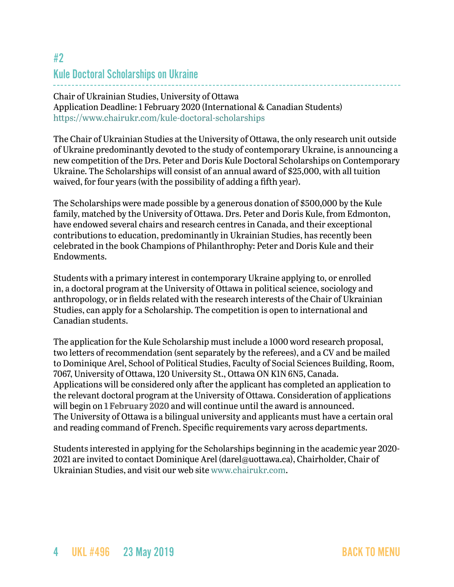# <span id="page-3-0"></span>#2 Kule Doctoral Scholarships on Ukraine

Chair of Ukrainian Studies, University of Ottawa Application Deadline: 1 February 2020 (International & Canadian Students) <https://www.chairukr.com/kule-doctoral-scholarships>

The Chair of Ukrainian Studies at the University of Ottawa, the only research unit outside of Ukraine predominantly devoted to the study of contemporary Ukraine, is announcing a new competition of the Drs. Peter and Doris Kule Doctoral Scholarships on Contemporary Ukraine. The Scholarships will consist of an annual award of \$25,000, with all tuition waived, for four years (with the possibility of adding a fifth year).

The Scholarships were made possible by a generous donation of \$500,000 by the Kule family, matched by the University of Ottawa. Drs. Peter and Doris Kule, from Edmonton, have endowed several chairs and research centres in Canada, and their exceptional contributions to education, predominantly in Ukrainian Studies, has recently been celebrated in the book Champions of Philanthrophy: Peter and Doris Kule and their Endowments.

Students with a primary interest in contemporary Ukraine applying to, or enrolled in, a doctoral program at the University of Ottawa in political science, sociology and anthropology, or in fields related with the research interests of the Chair of Ukrainian Studies, can apply for a Scholarship. The competition is open to international and Canadian students.

The application for the Kule Scholarship must include a 1000 word research proposal, two letters of recommendation (sent separately by the referees), and a CV and be mailed to Dominique Arel, School of Political Studies, Faculty of Social Sciences Building, Room, 7067, University of Ottawa, 120 University St., Ottawa ON K1N 6N5, Canada. Applications will be considered only after the applicant has completed an application to the relevant doctoral program at the University of Ottawa. Consideration of applications will begin on **1 February 2020** and will continue until the award is announced. The University of Ottawa is a bilingual university and applicants must have a certain oral and reading command of French. Specific requirements vary across departments.

Students interested in applying for the Scholarships beginning in the academic year 2020 2021 are invited to contact Dominique Arel ([darel@uottawa.ca\)](mailto:darel@uottawa.ca), Chairholder, Chair of Ukrainian Studies, and visit our web site [www.chairukr.com](http://www.chairukr.com).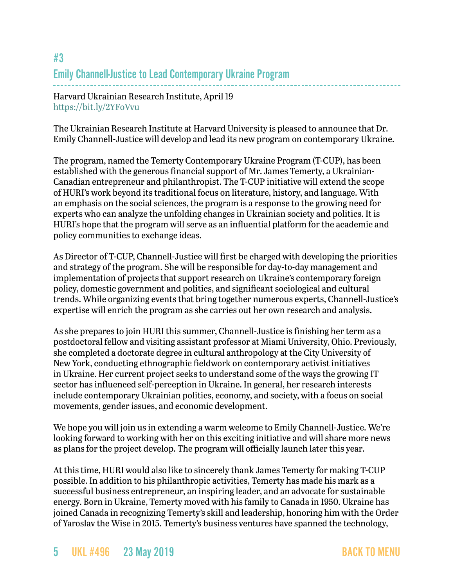# <span id="page-4-0"></span>#3 Emily Channell-Justice to Lead Contemporary Ukraine Program

Harvard Ukrainian Research Institute, April 19 <https://bit.ly/2YFoVvu>

The Ukrainian Research Institute at Harvard University is pleased to announce that Dr. Emily Channell-Justice will develop and lead its new program on contemporary Ukraine.

The program, named the Temerty Contemporary Ukraine Program (T-CUP), has been established with the generous financial support of Mr. James Temerty, a Ukrainian-Canadian entrepreneur and philanthropist. The T-CUP initiative will extend the scope of HURI's work beyond its traditional focus on literature, history, and language. With an emphasis on the social sciences, the program is a response to the growing need for experts who can analyze the unfolding changes in Ukrainian society and politics. It is HURI's hope that the program will serve as an influential platform for the academic and policy communities to exchange ideas.

As Director of T-CUP, Channell-Justice will first be charged with developing the priorities and strategy of the program. She will be responsible for day-to-day management and implementation of projects that support research on Ukraine's contemporary foreign policy, domestic government and politics, and significant sociological and cultural trends. While organizing events that bring together numerous experts, Channell-Justice's expertise will enrich the program as she carries out her own research and analysis.

As she prepares to join HURI this summer, Channell-Justice is finishing her term as a postdoctoral fellow and visiting assistant professor at Miami University, Ohio. Previously, she completed a doctorate degree in cultural anthropology at the City University of New York, conducting ethnographic fieldwork on contemporary activist initiatives in Ukraine. Her current project seeks to understand some of the ways the growing IT sector has influenced self-perception in Ukraine. In general, her research interests include contemporary Ukrainian politics, economy, and society, with a focus on social movements, gender issues, and economic development.

We hope you will join us in extending a warm welcome to Emily Channell-Justice. We're looking forward to working with her on this exciting initiative and will share more news as plans for the project develop. The program will officially launch later this year.

At this time, HURI would also like to sincerely thank James Temerty for making T-CUP possible. In addition to his philanthropic activities, Temerty has made his mark as a successful business entrepreneur, an inspiring leader, and an advocate for sustainable energy. Born in Ukraine, Temerty moved with his family to Canada in 1950. Ukraine has joined Canada in recognizing Temerty's skill and leadership, honoring him with the Order of Yaroslav the Wise in 2015. Temerty's business ventures have spanned the technology,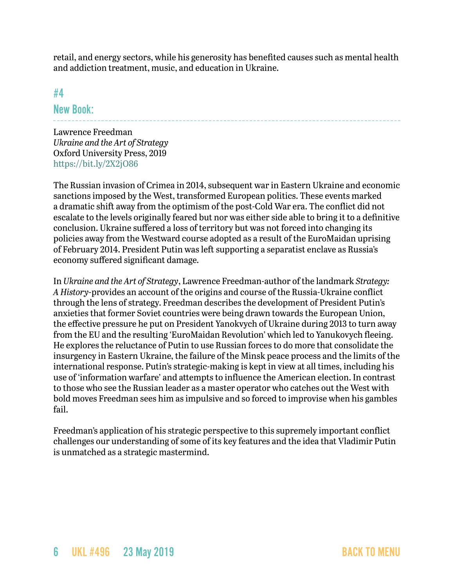retail, and energy sectors, while his generosity has benefited causes such as mental health and addiction treatment, music, and education in Ukraine.

#### <span id="page-5-0"></span>#4

### New Book:

Lawrence Freedman *Ukraine and the Art of Strategy* Oxford University Press, 2019 <https://bit.ly/2X2jO86>

The Russian invasion of Crimea in 2014, subsequent war in Eastern Ukraine and economic sanctions imposed by the West, transformed European politics. These events marked a dramatic shift away from the optimism of the post-Cold War era. The conflict did not escalate to the levels originally feared but nor was either side able to bring it to a definitive conclusion. Ukraine suffered a loss of territory but was not forced into changing its policies away from the Westward course adopted as a result of the EuroMaidan uprising of February 2014. President Putin was left supporting a separatist enclave as Russia's economy suffered significant damage.

In *Ukraine and the Art of Strategy*, Lawrence Freedman-author of the landmark *Strategy: A History*-provides an account of the origins and course of the Russia-Ukraine conflict through the lens of strategy. Freedman describes the development of President Putin's anxieties that former Soviet countries were being drawn towards the European Union, the effective pressure he put on President Yanokvych of Ukraine during 2013 to turn away from the EU and the resulting 'EuroMaidan Revolution' which led to Yanukovych fleeing. He explores the reluctance of Putin to use Russian forces to do more that consolidate the insurgency in Eastern Ukraine, the failure of the Minsk peace process and the limits of the international response. Putin's strategic-making is kept in view at all times, including his use of 'information warfare' and attempts to influence the American election. In contrast to those who see the Russian leader as a master operator who catches out the West with bold moves Freedman sees him as impulsive and so forced to improvise when his gambles fail.

Freedman's application of his strategic perspective to this supremely important conflict challenges our understanding of some of its key features and the idea that Vladimir Putin is unmatched as a strategic mastermind.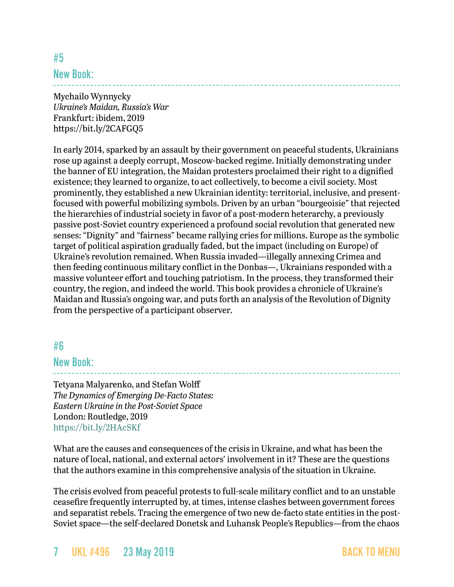| #5 |                  |
|----|------------------|
|    | <b>New Book:</b> |

<span id="page-6-0"></span>#5

Mychailo Wynnycky *Ukraine's Maidan, Russia's War* Frankfurt: ibidem, 2019 https://bit.ly/2CAFGQ5

In early 2014, sparked by an assault by their government on peaceful students, Ukrainians rose up against a deeply corrupt, Moscow-backed regime. Initially demonstrating under the banner of EU integration, the Maidan protesters proclaimed their right to a dignified existence; they learned to organize, to act collectively, to become a civil society. Most prominently, they established a new Ukrainian identity: territorial, inclusive, and presentfocused with powerful mobilizing symbols. Driven by an urban "bourgeoisie" that rejected the hierarchies of industrial society in favor of a post-modern heterarchy, a previously passive post-Soviet country experienced a profound social revolution that generated new senses: "Dignity" and "fairness" became rallying cries for millions. Europe as the symbolic target of political aspiration gradually faded, but the impact (including on Europe) of Ukraine's revolution remained. When Russia invaded—illegally annexing Crimea and then feeding continuous military conflict in the Donbas—, Ukrainians responded with a massive volunteer effort and touching patriotism. In the process, they transformed their country, the region, and indeed the world. This book provides a chronicle of Ukraine's Maidan and Russia's ongoing war, and puts forth an analysis of the Revolution of Dignity from the perspective of a participant observer.

#### <span id="page-6-1"></span>#6

#### New Book:

Tetyana Malyarenko, and Stefan Wolff *The Dynamics of Emerging De-Facto States: Eastern Ukraine in the Post-Soviet Space* London: Routledge, 2019 <https://bit.ly/2HAcSKf>

What are the causes and consequences of the crisis in Ukraine, and what has been the nature of local, national, and external actors' involvement in it? These are the questions that the authors examine in this comprehensive analysis of the situation in Ukraine.

The crisis evolved from peaceful protests to full-scale military conflict and to an unstable ceasefire frequently interrupted by, at times, intense clashes between government forces and separatist rebels. Tracing the emergence of two new de-facto state entities in the post-Soviet space—the self-declared Donetsk and Luhansk People's Republics—from the chaos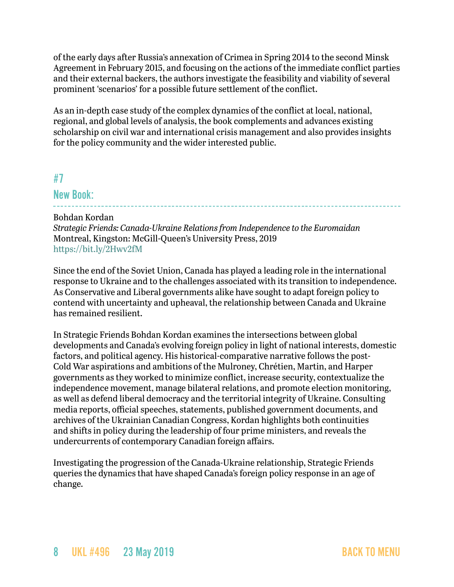of the early days after Russia's annexation of Crimea in Spring 2014 to the second Minsk Agreement in February 2015, and focusing on the actions of the immediate conflict parties and their external backers, the authors investigate the feasibility and viability of several prominent 'scenarios' for a possible future settlement of the conflict.

As an in-depth case study of the complex dynamics of the conflict at local, national, regional, and global levels of analysis, the book complements and advances existing scholarship on civil war and international crisis management and also provides insights for the policy community and the wider interested public.

#### <span id="page-7-0"></span>#7

#### New Book:

Bohdan Kordan *Strategic Friends: Canada-Ukraine Relations from Independence to the Euromaidan* Montreal, Kingston: McGill-Queen's University Press, 2019 <https://bit.ly/2Hwv2fM>

Since the end of the Soviet Union, Canada has played a leading role in the international response to Ukraine and to the challenges associated with its transition to independence. As Conservative and Liberal governments alike have sought to adapt foreign policy to contend with uncertainty and upheaval, the relationship between Canada and Ukraine has remained resilient.

In Strategic Friends Bohdan Kordan examines the intersections between global developments and Canada's evolving foreign policy in light of national interests, domestic factors, and political agency. His historical-comparative narrative follows the post-Cold War aspirations and ambitions of the Mulroney, Chrétien, Martin, and Harper governments as they worked to minimize conflict, increase security, contextualize the independence movement, manage bilateral relations, and promote election monitoring, as well as defend liberal democracy and the territorial integrity of Ukraine. Consulting media reports, official speeches, statements, published government documents, and archives of the Ukrainian Canadian Congress, Kordan highlights both continuities and shifts in policy during the leadership of four prime ministers, and reveals the undercurrents of contemporary Canadian foreign affairs.

Investigating the progression of the Canada-Ukraine relationship, Strategic Friends queries the dynamics that have shaped Canada's foreign policy response in an age of change.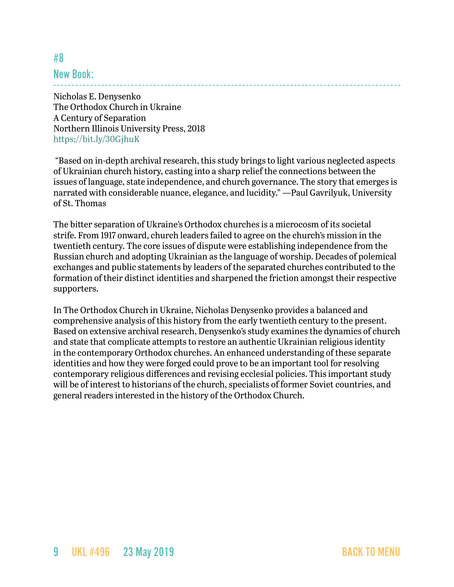New Book:

<span id="page-8-0"></span>#8

Nicholas E. Denysenko The Orthodox Church in Ukraine A Century of Separation Northern Illinois University Press, 2018 <https://bit.ly/30GjhuK>

 "Based on in-depth archival research, this study brings to light various neglected aspects of Ukrainian church history, casting into a sharp relief the connections between the issues of language, state independence, and church governance. The story that emerges is narrated with considerable nuance, elegance, and lucidity." —Paul Gavrilyuk, University of St. Thomas

The bitter separation of Ukraine's Orthodox churches is a microcosm of its societal strife. From 1917 onward, church leaders failed to agree on the church's mission in the twentieth century. The core issues of dispute were establishing independence from the Russian church and adopting Ukrainian as the language of worship. Decades of polemical exchanges and public statements by leaders of the separated churches contributed to the formation of their distinct identities and sharpened the friction amongst their respective supporters.

In The Orthodox Church in Ukraine, Nicholas Denysenko provides a balanced and comprehensive analysis of this history from the early twentieth century to the present. Based on extensive archival research, Denysenko's study examines the dynamics of church and state that complicate attempts to restore an authentic Ukrainian religious identity in the contemporary Orthodox churches. An enhanced understanding of these separate identities and how they were forged could prove to be an important tool for resolving contemporary religious differences and revising ecclesial policies. This important study will be of interest to historians of the church, specialists of former Soviet countries, and general readers interested in the history of the Orthodox Church.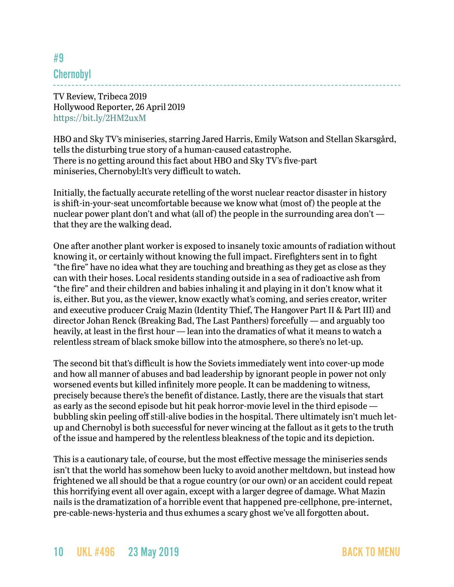<span id="page-9-0"></span>#9 **Chernobyl** 

TV Review, Tribeca 2019 Hollywood Reporter, 26 April 2019 <https://bit.ly/2HM2uxM>

HBO and Sky TV's miniseries, starring Jared Harris, Emily Watson and Stellan Skarsgård, tells the disturbing true story of a human-caused catastrophe. There is no getting around this fact about HBO and Sky TV's five-part miniseries, Chernobyl:It's very difficult to watch.

Initially, the factually accurate retelling of the worst nuclear reactor disaster in history is shift-in-your-seat uncomfortable because we know what (most of) the people at the nuclear power plant don't and what (all of) the people in the surrounding area don't that they are the walking dead.

One after another plant worker is exposed to insanely toxic amounts of radiation without knowing it, or certainly without knowing the full impact. Firefighters sent in to fight "the fire" have no idea what they are touching and breathing as they get as close as they can with their hoses. Local residents standing outside in a sea of radioactive ash from "the fire" and their children and babies inhaling it and playing in it don't know what it is, either. But you, as the viewer, know exactly what's coming, and series creator, writer and executive producer Craig Mazin (Identity Thief, The Hangover Part II & Part III) and director Johan Renck (Breaking Bad, The Last Panthers) forcefully — and arguably too heavily, at least in the first hour — lean into the dramatics of what it means to watch a relentless stream of black smoke billow into the atmosphere, so there's no let-up.

The second bit that's difficult is how the Soviets immediately went into cover-up mode and how all manner of abuses and bad leadership by ignorant people in power not only worsened events but killed infinitely more people. It can be maddening to witness, precisely because there's the benefit of distance. Lastly, there are the visuals that start as early as the second episode but hit peak horror-movie level in the third episode bubbling skin peeling off still-alive bodies in the hospital. There ultimately isn't much letup and Chernobyl is both successful for never wincing at the fallout as it gets to the truth of the issue and hampered by the relentless bleakness of the topic and its depiction.

This is a cautionary tale, of course, but the most effective message the miniseries sends isn't that the world has somehow been lucky to avoid another meltdown, but instead how frightened we all should be that a rogue country (or our own) or an accident could repeat this horrifying event all over again, except with a larger degree of damage. What Mazin nails is the dramatization of a horrible event that happened pre-cellphone, pre-internet, pre-cable-news-hysteria and thus exhumes a scary ghost we've all forgotten about.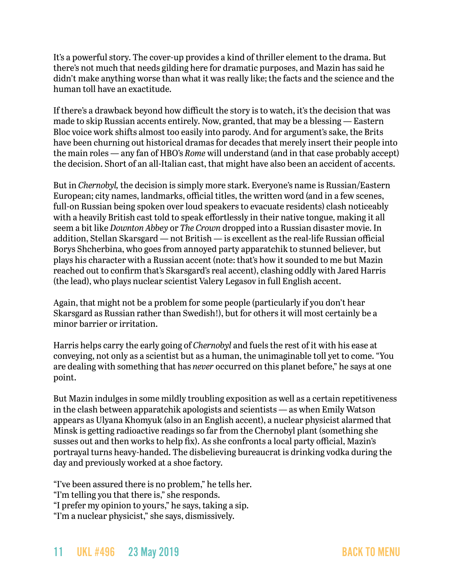It's a powerful story. The cover-up provides a kind of thriller element to the drama. But there's not much that needs gilding here for dramatic purposes, and Mazin has said he didn't make anything worse than what it was really like; the facts and the science and the human toll have an exactitude.

If there's a drawback beyond how difficult the story is to watch, it's the decision that was made to skip Russian accents entirely. Now, granted, that may be a blessing — Eastern Bloc voice work shifts almost too easily into parody. And for argument's sake, the Brits have been churning out historical dramas for decades that merely insert their people into the main roles — any fan of HBO's *Rome* will understand (and in that case probably accept) the decision. Short of an all-Italian cast, that might have also been an accident of accents.

But in *Chernobyl,* the decision is simply more stark. Everyone's name is Russian/Eastern European; city names, landmarks, official titles, the written word (and in a few scenes, full-on Russian being spoken over loud speakers to evacuate residents) clash noticeably with a heavily British cast told to speak effortlessly in their native tongue, making it all seem a bit like *Downton Abbey* or *The Crown* dropped into a Russian disaster movie. In addition, Stellan Skarsgard — not British — is excellent as the real-life Russian official Borys Shcherbina, who goes from annoyed party apparatchik to stunned believer, but plays his character with a Russian accent (note: that's how it sounded to me but Mazin reached out to confirm that's Skarsgard's real accent), clashing oddly with Jared Harris (the lead), who plays nuclear scientist Valery Legasov in full English accent.

Again, that might not be a problem for some people (particularly if you don't hear Skarsgard as Russian rather than Swedish!), but for others it will most certainly be a minor barrier or irritation.

Harris helps carry the early going of *Chernobyl* and fuels the rest of it with his ease at conveying, not only as a scientist but as a human, the unimaginable toll yet to come. "You are dealing with something that has *never* occurred on this planet before," he says at one point.

But Mazin indulges in some mildly troubling exposition as well as a certain repetitiveness in the clash between apparatchik apologists and scientists — as when Emily Watson appears as Ulyana Khomyuk (also in an English accent), a nuclear physicist alarmed that Minsk is getting radioactive readings so far from the Chernobyl plant (something she susses out and then works to help fix). As she confronts a local party official, Mazin's portrayal turns heavy-handed. The disbelieving bureaucrat is drinking vodka during the day and previously worked at a shoe factory.

"I've been assured there is no problem," he tells her. "I'm telling you that there is," she responds. "I prefer my opinion to yours," he says, taking a sip. "I'm a nuclear physicist," she says, dismissively.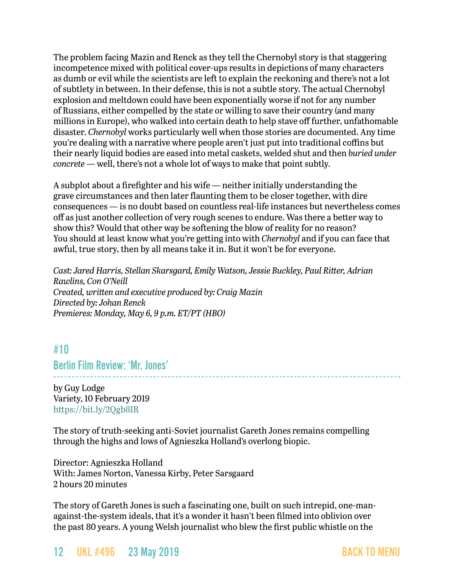The problem facing Mazin and Renck as they tell the Chernobyl story is that staggering incompetence mixed with political cover-ups results in depictions of many characters as dumb or evil while the scientists are left to explain the reckoning and there's not a lot of subtlety in between. In their defense, this is not a subtle story. The actual Chernobyl explosion and meltdown could have been exponentially worse if not for any number of Russians, either compelled by the state or willing to save their country (and many millions in Europe), who walked into certain death to help stave off further, unfathomable disaster. *Chernobyl* works particularly well when those stories are documented. Any time you're dealing with a narrative where people aren't just put into traditional coffins but their nearly liquid bodies are eased into metal caskets, welded shut and then *buried under concrete —* well, there's not a whole lot of ways to make that point subtly.

A subplot about a firefighter and his wife — neither initially understanding the grave circumstances and then later flaunting them to be closer together, with dire consequences — is no doubt based on countless real-life instances but nevertheless comes off as just another collection of very rough scenes to endure. Was there a better way to show this? Would that other way be softening the blow of reality for no reason? You should at least know what you're getting into with *Chernobyl* and if you can face that awful, true story, then by all means take it in. But it won't be for everyone.

*Cast: Jared Harris, Stellan Skarsgard, Emily Watson, Jessie Buckley, Paul Ritter, Adrian Rawlins, Con O'Neill Created, written and executive produced by: Craig Mazin Directed by: Johan Renck Premieres: Monday, May 6, 9 p.m. ET/PT (HBO)*

#### #10

#### Berlin Film Review: 'Mr. Jones'

by Guy Lodge Variety, 10 February 2019 <https://bit.ly/2Qgb8IR>

The story of truth-seeking anti-Soviet journalist Gareth Jones remains compelling through the highs and lows of Agnieszka Holland's overlong biopic.

Director: Agnieszka Holland With: James Norton, Vanessa Kirby, Peter Sarsgaard 2 hours 20 minutes

The story of Gareth Jones is such a fascinating one, built on such intrepid, one-managainst-the-system ideals, that it's a wonder it hasn't been filmed into oblivion over the past 80 years. A young Welsh journalist who blew the first public whistle on the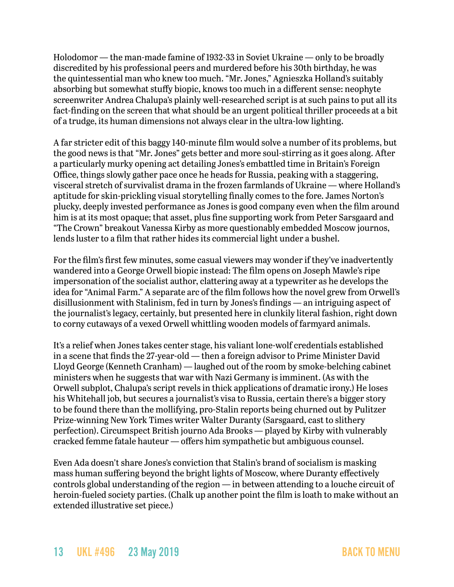Holodomor — the man-made famine of 1932-33 in Soviet Ukraine — only to be broadly discredited by his professional peers and murdered before his 30th birthday, he was the quintessential man who knew too much. "Mr. Jones," Agnieszka Holland's suitably absorbing but somewhat stuffy biopic, knows too much in a different sense: neophyte screenwriter Andrea Chalupa's plainly well-researched script is at such pains to put all its fact-finding on the screen that what should be an urgent political thriller proceeds at a bit of a trudge, its human dimensions not always clear in the ultra-low lighting.

A far stricter edit of this baggy 140-minute film would solve a number of its problems, but the good news is that "Mr. Jones" gets better and more soul-stirring as it goes along. After a particularly murky opening act detailing Jones's embattled time in Britain's Foreign Office, things slowly gather pace once he heads for Russia, peaking with a staggering, visceral stretch of survivalist drama in the frozen farmlands of Ukraine — where Holland's aptitude for skin-prickling visual storytelling finally comes to the fore. James Norton's plucky, deeply invested performance as Jones is good company even when the film around him is at its most opaque; that asset, plus fine supporting work from Peter Sarsgaard and "The Crown" breakout Vanessa Kirby as more questionably embedded Moscow journos, lends luster to a film that rather hides its commercial light under a bushel.

For the film's first few minutes, some casual viewers may wonder if they've inadvertently wandered into a George Orwell biopic instead: The film opens on Joseph Mawle's ripe impersonation of the socialist author, clattering away at a typewriter as he develops the idea for "Animal Farm." A separate arc of the film follows how the novel grew from Orwell's disillusionment with Stalinism, fed in turn by Jones's findings — an intriguing aspect of the journalist's legacy, certainly, but presented here in clunkily literal fashion, right down to corny cutaways of a vexed Orwell whittling wooden models of farmyard animals.

It's a relief when Jones takes center stage, his valiant lone-wolf credentials established in a scene that finds the 27-year-old — then a foreign advisor to Prime Minister David Lloyd George (Kenneth Cranham) — laughed out of the room by smoke-belching cabinet ministers when he suggests that war with Nazi Germany is imminent. (As with the Orwell subplot, Chalupa's script revels in thick applications of dramatic irony.) He loses his Whitehall job, but secures a journalist's visa to Russia, certain there's a bigger story to be found there than the mollifying, pro-Stalin reports being churned out by Pulitzer Prize-winning New York Times writer Walter Duranty (Sarsgaard, cast to slithery perfection). Circumspect British journo Ada Brooks — played by Kirby with vulnerably cracked femme fatale hauteur — offers him sympathetic but ambiguous counsel.

Even Ada doesn't share Jones's conviction that Stalin's brand of socialism is masking mass human suffering beyond the bright lights of Moscow, where Duranty effectively controls global understanding of the region — in between attending to a louche circuit of heroin-fueled society parties. (Chalk up another point the film is loath to make without an extended illustrative set piece.)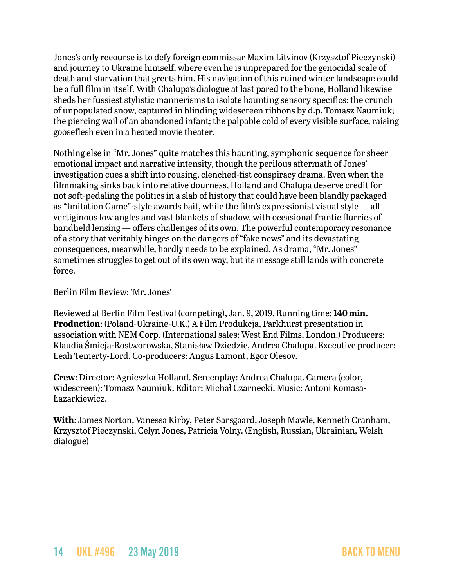Jones's only recourse is to defy foreign commissar Maxim Litvinov (Krzysztof Pieczynski) and journey to Ukraine himself, where even he is unprepared for the genocidal scale of death and starvation that greets him. His navigation of this ruined winter landscape could be a full film in itself. With Chalupa's dialogue at last pared to the bone, Holland likewise sheds her fussiest stylistic mannerisms to isolate haunting sensory specifics: the crunch of unpopulated snow, captured in blinding widescreen ribbons by d.p. Tomasz Naumiuk; the piercing wail of an abandoned infant; the palpable cold of every visible surface, raising gooseflesh even in a heated movie theater.

Nothing else in "Mr. Jones" quite matches this haunting, symphonic sequence for sheer emotional impact and narrative intensity, though the perilous aftermath of Jones' investigation cues a shift into rousing, clenched-fist conspiracy drama. Even when the filmmaking sinks back into relative dourness, Holland and Chalupa deserve credit for not soft-pedaling the politics in a slab of history that could have been blandly packaged as "Imitation Game"-style awards bait, while the film's expressionist visual style — all vertiginous low angles and vast blankets of shadow, with occasional frantic flurries of handheld lensing — offers challenges of its own. The powerful contemporary resonance of a story that veritably hinges on the dangers of "fake news" and its devastating consequences, meanwhile, hardly needs to be explained. As drama, "Mr. Jones" sometimes struggles to get out of its own way, but its message still lands with concrete force.

Berlin Film Review: 'Mr. Jones'

Reviewed at Berlin Film Festival (competing), Jan. 9, 2019. Running time: **140 min. Production**: (Poland-Ukraine-U.K.) A Film Produkcja, Parkhurst presentation in association with NEM Corp. (International sales: West End Films, London.) Producers: Klaudia Śmieja-Rostworowska, Stanisław Dziedzic, Andrea Chalupa. Executive producer: Leah Temerty-Lord. Co-producers: Angus Lamont, Egor Olesov.

**Crew**: Director: Agnieszka Holland. Screenplay: Andrea Chalupa. Camera (color, widescreen): Tomasz Naumiuk. Editor: Michał Czarnecki. Music: Antoni Komasa-Łazarkiewicz.

**With**: James Norton, Vanessa Kirby, Peter Sarsgaard, Joseph Mawle, Kenneth Cranham, Krzysztof Pieczynski, Celyn Jones, Patricia Volny. (English, Russian, Ukrainian, Welsh dialogue)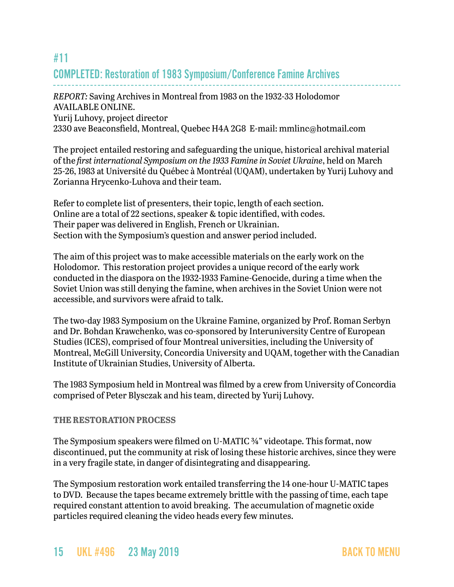# <span id="page-14-0"></span>#11 COMPLETED: Restoration of 1983 Symposium/Conference Famine Archives

### *REPORT:* Saving Archives in Montreal from 1983 on the 1932-33 Holodomor AVAILABLE ONLINE.

Yurij Luhovy, project director 2330 ave Beaconsfield, Montreal, Quebec H4A 2G8 E-mail: mmlinc@hotmail.com

The project entailed restoring and safeguarding the unique, historical archival material of the *first international Symposium on the 1933 Famine in Soviet Ukraine*, held on March 25-26, 1983 at Université du Québec à Montréal (UQAM), undertaken by Yurij Luhovy and Zorianna Hrycenko-Luhova and their team.

Refer to complete list of presenters, their topic, length of each section. Online are a total of 22 sections, speaker & topic identified, with codes. Their paper was delivered in English, French or Ukrainian. Section with the Symposium's question and answer period included.

The aim of this project was to make accessible materials on the early work on the Holodomor. This restoration project provides a unique record of the early work conducted in the diaspora on the 1932-1933 Famine-Genocide, during a time when the Soviet Union was still denying the famine, when archives in the Soviet Union were not accessible, and survivors were afraid to talk.

The two-day 1983 Symposium on the Ukraine Famine, organized by Prof. Roman Serbyn and Dr. Bohdan Krawchenko, was co-sponsored by Interuniversity Centre of European Studies (ICES), comprised of four Montreal universities, including the University of Montreal, McGill University, Concordia University and UQAM, together with the Canadian Institute of Ukrainian Studies, University of Alberta.

The 1983 Symposium held in Montreal was filmed by a crew from University of Concordia comprised of Peter Blysczak and his team, directed by Yurij Luhovy.

#### **THE RESTORATION PROCESS**

The Symposium speakers were filmed on U-MATIC ¾" videotape. This format, now discontinued, put the community at risk of losing these historic archives, since they were in a very fragile state, in danger of disintegrating and disappearing.

The Symposium restoration work entailed transferring the 14 one-hour U-MATIC tapes to DVD. Because the tapes became extremely brittle with the passing of time, each tape required constant attention to avoid breaking. The accumulation of magnetic oxide particles required cleaning the video heads every few minutes.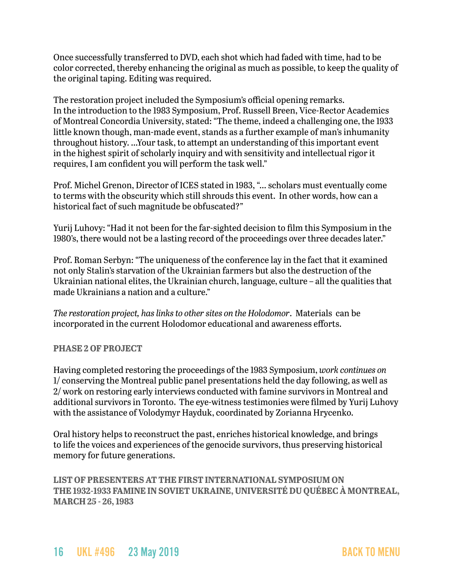Once successfully transferred to DVD, each shot which had faded with time, had to be color corrected, thereby enhancing the original as much as possible, to keep the quality of the original taping. Editing was required.

The restoration project included the Symposium's official opening remarks. In the introduction to the 1983 Symposium, Prof. Russell Breen, Vice-Rector Academics of Montreal Concordia University, stated: "The theme, indeed a challenging one, the 1933 little known though, man-made event, stands as a further example of man's inhumanity throughout history. …Your task, to attempt an understanding of this important event in the highest spirit of scholarly inquiry and with sensitivity and intellectual rigor it requires, I am confident you will perform the task well."

Prof. Michel Grenon, Director of ICES stated in 1983, "… scholars must eventually come to terms with the obscurity which still shrouds this event. In other words, how can a historical fact of such magnitude be obfuscated?"

Yurij Luhovy: "Had it not been for the far-sighted decision to film this Symposium in the 1980's, there would not be a lasting record of the proceedings over three decades later."

Prof. Roman Serbyn: "The uniqueness of the conference lay in the fact that it examined not only Stalin's starvation of the Ukrainian farmers but also the destruction of the Ukrainian national elites, the Ukrainian church, language, culture – all the qualities that made Ukrainians a nation and a culture."

*The restoration project, has links to other sites on the Holodomor*. Materials can be incorporated in the current Holodomor educational and awareness efforts.

#### **PHASE 2 OF PROJECT**

Having completed restoring the proceedings of the 1983 Symposium, *work continues on* 1/ conserving the Montreal public panel presentations held the day following, as well as 2/ work on restoring early interviews conducted with famine survivors in Montreal and additional survivors in Toronto**.** The eye-witness testimonies were filmed by Yurij Luhovy with the assistance of Volodymyr Hayduk, coordinated by Zorianna Hrycenko.

Oral history helps to reconstruct the past, enriches historical knowledge, and brings to life the voices and experiences of the genocide survivors, thus preserving historical memory for future generations.

**LIST OF PRESENTERS AT THE FIRST INTERNATIONAL SYMPOSIUM ON THE 1932-1933 FAMINE IN SOVIET UKRAINE, UNIVERSITÉ DU QUÉBEC À MONTREAL, MARCH 25 - 26, 1983**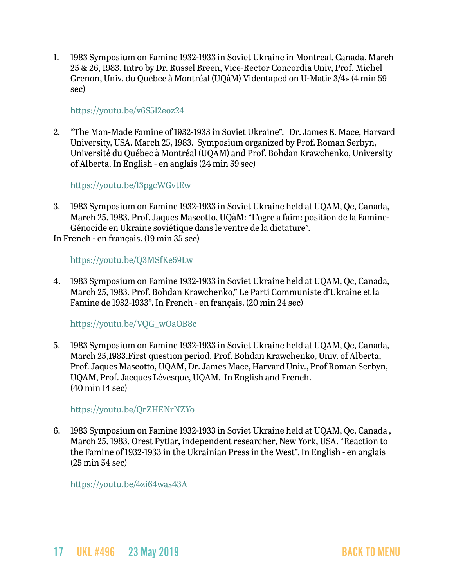1. 1983 Symposium on Famine 1932-1933 in Soviet Ukraine in Montreal, Canada, March 25 & 26, 1983. Intro by Dr. Russel Breen, Vice-Rector Concordia Univ, Prof. Michel Grenon, Univ. du Québec à Montréal (UQàM) Videotaped on U-Matic 3/4» (4 min 59 sec)

#### <https://youtu.be/v6S5l2eoz24>

2. "The Man-Made Famine of 1932-1933 in Soviet Ukraine". Dr. James E. Mace, Harvard University, USA. March 25, 1983. Symposium organized by Prof. Roman Serbyn, Université du Québec à Montréal (UQAM) and Prof. Bohdan Krawchenko, University of Alberta. In English - en anglais (24 min 59 sec)

#### <https://youtu.be/l3pgcWGvtEw>

3. 1983 Symposium on Famine 1932-1933 in Soviet Ukraine held at UQAM, Qc, Canada, March 25, 1983. Prof. Jaques Mascotto, UQàM: "L'ogre a faim: position de la Famine-Génocide en Ukraine soviétique dans le ventre de la dictature".

In French - en français. (19 min 35 sec)

#### <https://youtu.be/Q3MSfKe59Lw>

4. 1983 Symposium on Famine 1932-1933 in Soviet Ukraine held at UQAM, Qc, Canada, March 25, 1983. Prof. Bohdan Krawchenko," Le Parti Communiste d'Ukraine et la Famine de 1932-1933". In French - en français. (20 min 24 sec)

#### [https://youtu.be/VQG\\_wOaOB8c](https://youtu.be/VQG_wOaOB8c)

5. 1983 Symposium on Famine 1932-1933 in Soviet Ukraine held at UQAM, Qc, Canada, March 25,1983.First question period. Prof. Bohdan Krawchenko, Univ. of Alberta, Prof. Jaques Mascotto, UQAM, Dr. James Mace, Harvard Univ., Prof Roman Serbyn, UQAM, Prof. Jacques Lévesque, UQAM. In English and French. (40 min 14 sec)

#### <https://youtu.be/QrZHENrNZYo>

6. 1983 Symposium on Famine 1932-1933 in Soviet Ukraine held at UQAM, Qc, Canada , March 25, 1983. Orest Pytlar, independent researcher, New York, USA. "Reaction to the Famine of 1932-1933 in the Ukrainian Press in the West". In English - en anglais (25 min 54 sec)

<https://youtu.be/4zi64was43A>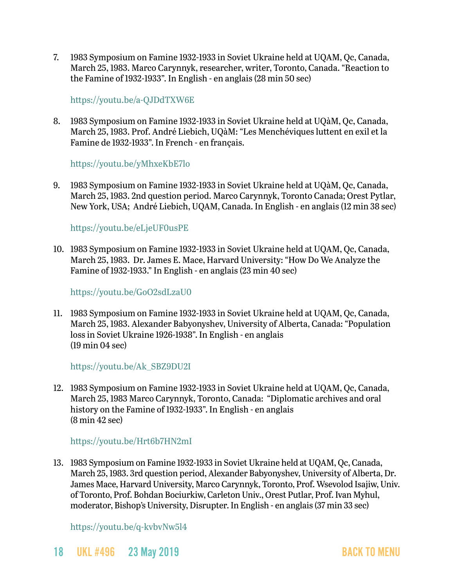7. 1983 Symposium on Famine 1932-1933 in Soviet Ukraine held at UQAM, Qc, Canada, March 25, 1983. Marco Carynnyk, researcher, writer, Toronto, Canada. "Reaction to the Famine of 1932-1933". In English - en anglais (28 min 50 sec)

<https://youtu.be/a-QJDdTXW6E>

8. 1983 Symposium on Famine 1932-1933 in Soviet Ukraine held at UQàM, Qc, Canada, March 25, 1983. Prof. André Liebich, UQàM: "Les Menchéviques luttent en exil et la Famine de 1932-1933". In French - en français.

<https://youtu.be/yMhxeKbE7lo>

9. 1983 Symposium on Famine 1932-1933 in Soviet Ukraine held at UQàM, Qc, Canada, March 25, 1983. 2nd question period. Marco Carynnyk, Toronto Canada; Orest Pytlar, New York, USA; André Liebich, UQAM, Canada. In English - en anglais (12 min 38 sec)

#### <https://youtu.be/eLjeUF0usPE>

10. 1983 Symposium on Famine 1932-1933 in Soviet Ukraine held at UQAM, Qc, Canada, March 25, 1983. Dr. James E. Mace, Harvard University: "How Do We Analyze the Famine of 1932-1933." In English - en anglais (23 min 40 sec)

<https://youtu.be/GoO2sdLzaU0>

11. 1983 Symposium on Famine 1932-1933 in Soviet Ukraine held at UQAM, Qc, Canada, March 25, 1983. Alexander Babyonyshev, University of Alberta, Canada: "Population loss in Soviet Ukraine 1926-1938". In English - en anglais (19 min 04 sec)

[https://youtu.be/Ak\\_SBZ9DU2I](https://youtu.be/Ak_SBZ9DU2I)

12. 1983 Symposium on Famine 1932-1933 in Soviet Ukraine held at UQAM, Qc, Canada, March 25, 1983 Marco Carynnyk, Toronto, Canada: "Diplomatic archives and oral history on the Famine of 1932-1933". In English - en anglais (8 min 42 sec)

<https://youtu.be/Hrt6b7HN2mI>

13. 1983 Symposium on Famine 1932-1933 in Soviet Ukraine held at UQAM, Qc, Canada, March 25, 1983. 3rd question period, Alexander Babyonyshev, University of Alberta, Dr. James Mace, Harvard University, Marco Carynnyk, Toronto, Prof. Wsevolod Isajiw, Univ. of Toronto, Prof. Bohdan Bociurkiw, Carleton Univ., Orest Putlar, Prof. Ivan Myhul, moderator, Bishop's University, Disrupter. In English - en anglais (37 min 33 sec)

<https://youtu.be/q-kvbvNw5l4>

18 UKL #496 23 May 2019 [BACK TO MENU](#page-0-0)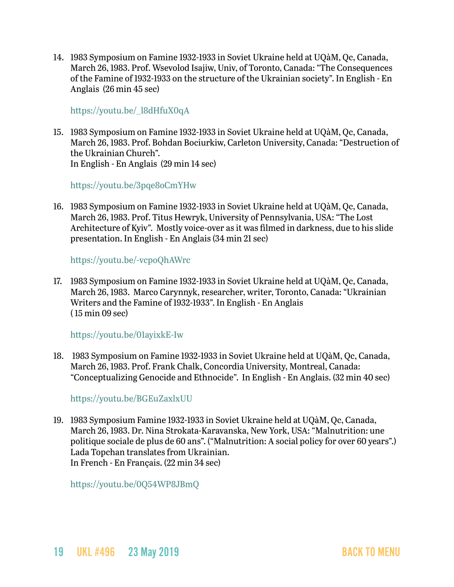14. 1983 Symposium on Famine 1932-1933 in Soviet Ukraine held at UQàM, Qc, Canada, March 26, 1983. Prof. Wsevolod Isajiw, Univ, of Toronto, Canada: "The Consequences of the Famine of 1932-1933 on the structure of the Ukrainian society". In English - En Anglais (26 min 45 sec)

[https://youtu.be/\\_l8dHfuX0qA](https://youtu.be/_l8dHfuX0qA)

15. 1983 Symposium on Famine 1932-1933 in Soviet Ukraine held at UQàM, Qc, Canada, March 26, 1983. Prof. Bohdan Bociurkiw, Carleton University, Canada: "Destruction of the Ukrainian Church". In English - En Anglais (29 min 14 sec)

<https://youtu.be/3pqe8oCmYHw>

16. 1983 Symposium on Famine 1932-1933 in Soviet Ukraine held at UQàM, Qc, Canada, March 26, 1983. Prof. Titus Hewryk, University of Pennsylvania, USA: "The Lost Architecture of Kyiv". Mostly voice-over as it was filmed in darkness, due to his slide presentation. In English - En Anglais (34 min 21 sec)

<https://youtu.be/-vcpoQhAWrc>

17. 1983 Symposium on Famine 1932-1933 in Soviet Ukraine held at UQàM, Qc, Canada, March 26, 1983. Marco Carynnyk, researcher, writer, Toronto, Canada: "Ukrainian Writers and the Famine of 1932-1933". In English - En Anglais ( 15 min 09 sec)

<https://youtu.be/01ayixkE-Iw>

18. 1983 Symposium on Famine 1932-1933 in Soviet Ukraine held at UQàM, Qc, Canada, March 26, 1983. Prof. Frank Chalk, Concordia University, Montreal, Canada: "Conceptualizing Genocide and Ethnocide". In English - En Anglais. (32 min 40 sec)

<https://youtu.be/BGEuZaxlxUU>

19. 1983 Symposium Famine 1932-1933 in Soviet Ukraine held at UQàM, Qc, Canada, March 26, 1983. Dr. Nina Strokata-Karavanska, New York, USA: "Malnutrition: une politique sociale de plus de 60 ans". ("Malnutrition: A social policy for over 60 years".) Lada Topchan translates from Ukrainian. In French - En Français. (22 min 34 sec)

<https://youtu.be/0Q54WP8JBmQ>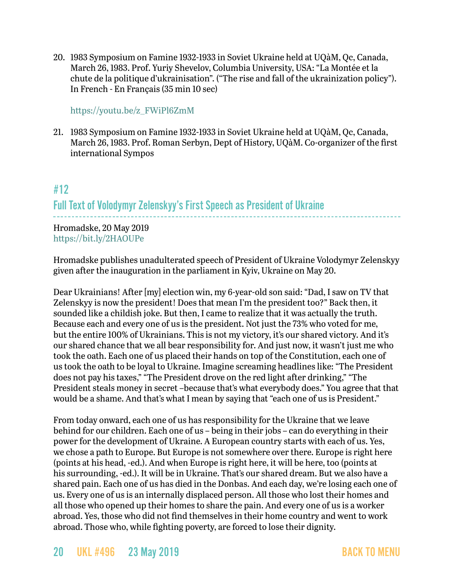20. 1983 Symposium on Famine 1932-1933 in Soviet Ukraine held at UQàM, Qc, Canada, March 26, 1983. Prof. Yuriy Shevelov, Columbia University, USA: "La Montée et la chute de la politique d'ukrainisation". ("The rise and fall of the ukrainization policy"). In French - En Français (35 min 10 sec)

[https://youtu.be/z\\_FWiPl6ZmM](https://youtu.be/z_FWiPl6ZmM)

21. 1983 Symposium on Famine 1932-1933 in Soviet Ukraine held at UQàM, Qc, Canada, March 26, 1983. Prof. Roman Serbyn, Dept of History, UQàM. Co-organizer of the first international Sympos

### #12

Full Text of Volodymyr Zelenskyy's First Speech as President of Ukraine

Hromadske, 20 May 2019 <https://bit.ly/2HAOUPe>

Hromadske publishes unadulterated speech of President of Ukraine Volodymyr Zelenskyy given after the inauguration in the parliament in Kyiv, Ukraine on May 20.

Dear Ukrainians! After [my] election win, my 6-year-old son said: "Dad, I saw on TV that Zelenskyy is now the president! Does that mean I'm the president too?" Back then, it sounded like a childish joke. But then, I came to realize that it was actually the truth. Because each and every one of us is the president. Not just the 73% who voted for me, but the entire 100% of Ukrainians. This is not my victory, it's our shared victory. And it's our shared chance that we all bear responsibility for. And just now, it wasn't just me who took the oath. Each one of us placed their hands on top of the Constitution, each one of us took the oath to be loyal to Ukraine. Imagine screaming headlines like: "The President does not pay his taxes," "The President drove on the red light after drinking," "The President steals money in secret –because that's what everybody does." You agree that that would be a shame. And that's what I mean by saying that "each one of us is President."

From today onward, each one of us has responsibility for the Ukraine that we leave behind for our children. Each one of us – being in their jobs – can do everything in their power for the development of Ukraine. A European country starts with each of us. Yes, we chose a path to Europe. But Europe is not somewhere over there. Europe is right here (points at his head, -ed.). And when Europe is right here, it will be here, too (points at his surrounding, -ed.). It will be in Ukraine. That's our shared dream. But we also have a shared pain. Each one of us has died in the Donbas. And each day, we're losing each one of us. Every one of us is an internally displaced person. All those who lost their homes and all those who opened up their homes to share the pain. And every one of us is a worker abroad. Yes, those who did not find themselves in their home country and went to work abroad. Those who, while fighting poverty, are forced to lose their dignity.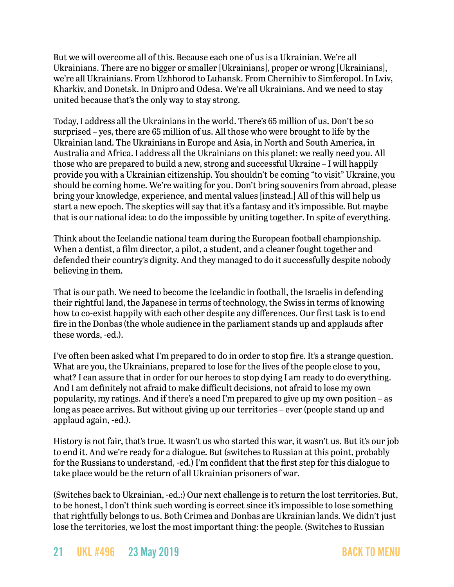But we will overcome all of this. Because each one of us is a Ukrainian. We're all Ukrainians. There are no bigger or smaller [Ukrainians], proper or wrong [Ukrainians], we're all Ukrainians. From Uzhhorod to Luhansk. From Chernihiv to Simferopol. In Lviv, Kharkiv, and Donetsk. In Dnipro and Odesa. We're all Ukrainians. And we need to stay united because that's the only way to stay strong.

Today, I address all the Ukrainians in the world. There's 65 million of us. Don't be so surprised – yes, there are 65 million of us. All those who were brought to life by the Ukrainian land. The Ukrainians in Europe and Asia, in North and South America, in Australia and Africa. I address all the Ukrainians on this planet: we really need you. All those who are prepared to build a new, strong and successful Ukraine – I will happily provide you with a Ukrainian citizenship. You shouldn't be coming "to visit" Ukraine, you should be coming home. We're waiting for you. Don't bring souvenirs from abroad, please bring your knowledge, experience, and mental values [instead.] All of this will help us start a new epoch. The skeptics will say that it's a fantasy and it's impossible. But maybe that is our national idea: to do the impossible by uniting together. In spite of everything.

Think about the Icelandic national team during the European football championship. When a dentist, a film director, a pilot, a student, and a cleaner fought together and defended their country's dignity. And they managed to do it successfully despite nobody believing in them.

That is our path. We need to become the Icelandic in football, the Israelis in defending their rightful land, the Japanese in terms of technology, the Swiss in terms of knowing how to co-exist happily with each other despite any differences. Our first task is to end fire in the Donbas (the whole audience in the parliament stands up and applauds after these words, -ed.).

I've often been asked what I'm prepared to do in order to stop fire. It's a strange question. What are you, the Ukrainians, prepared to lose for the lives of the people close to you, what? I can assure that in order for our heroes to stop dying I am ready to do everything. And I am definitely not afraid to make difficult decisions, not afraid to lose my own popularity, my ratings. And if there's a need I'm prepared to give up my own position – as long as peace arrives. But without giving up our territories – ever (people stand up and applaud again, -ed.).

History is not fair, that's true. It wasn't us who started this war, it wasn't us. But it's our job to end it. And we're ready for a dialogue. But (switches to Russian at this point, probably for the Russians to understand, -ed.) I'm confident that the first step for this dialogue to take place would be the return of all Ukrainian prisoners of war.

(Switches back to Ukrainian, -ed.:) Our next challenge is to return the lost territories. But, to be honest, I don't think such wording is correct since it's impossible to lose something that rightfully belongs to us. Both Crimea and Donbas are Ukrainian lands. We didn't just lose the territories, we lost the most important thing: the people. (Switches to Russian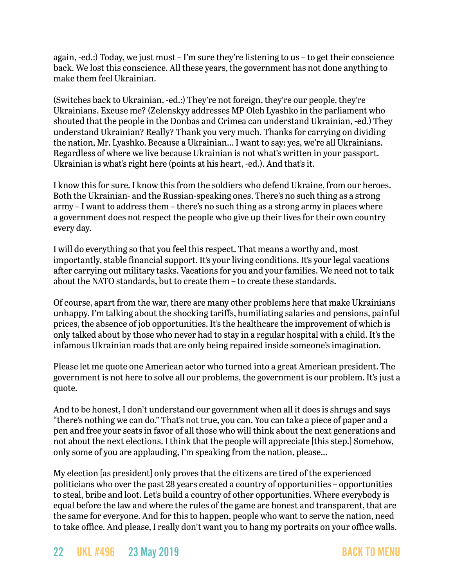again, -ed.:) Today, we just must – I'm sure they're listening to us – to get their conscience back. We lost this conscience. All these years, the government has not done anything to make them feel Ukrainian.

(Switches back to Ukrainian, -ed.:) They're not foreign, they're our people, they're Ukrainians. Excuse me? (Zelenskyy addresses MP Oleh Lyashko in the parliament who shouted that the people in the Donbas and Crimea can understand Ukrainian, -ed.) They understand Ukrainian? Really? Thank you very much. Thanks for carrying on dividing the nation, Mr. Lyashko. Because a Ukrainian... I want to say: yes, we're all Ukrainians. Regardless of where we live because Ukrainian is not what's written in your passport. Ukrainian is what's right here (points at his heart, -ed.). And that's it.

I know this for sure. I know this from the soldiers who defend Ukraine, from our heroes. Both the Ukrainian- and the Russian-speaking ones. There's no such thing as a strong army – I want to address them – there's no such thing as a strong army in places where a government does not respect the people who give up their lives for their own country every day.

I will do everything so that you feel this respect. That means a worthy and, most importantly, stable financial support. It's your living conditions. It's your legal vacations after carrying out military tasks. Vacations for you and your families. We need not to talk about the NATO standards, but to create them – to create these standards.

Of course, apart from the war, there are many other problems here that make Ukrainians unhappy. I'm talking about the shocking tariffs, humiliating salaries and pensions, painful prices, the absence of job opportunities. It's the healthcare the improvement of which is only talked about by those who never had to stay in a regular hospital with a child. It's the infamous Ukrainian roads that are only being repaired inside someone's imagination.

Please let me quote one American actor who turned into a great American president. The government is not here to solve all our problems, the government is our problem. It's just a quote.

And to be honest, I don't understand our government when all it does is shrugs and says "there's nothing we can do." That's not true, you can. You can take a piece of paper and a pen and free your seats in favor of all those who will think about the next generations and not about the next elections. I think that the people will appreciate [this step.] Somehow, only some of you are applauding, I'm speaking from the nation, please...

My election [as president] only proves that the citizens are tired of the experienced politicians who over the past 28 years created a country of opportunities – opportunities to steal, bribe and loot. Let's build a country of other opportunities. Where everybody is equal before the law and where the rules of the game are honest and transparent, that are the same for everyone. And for this to happen, people who want to serve the nation, need to take office. And please, I really don't want you to hang my portraits on your office walls.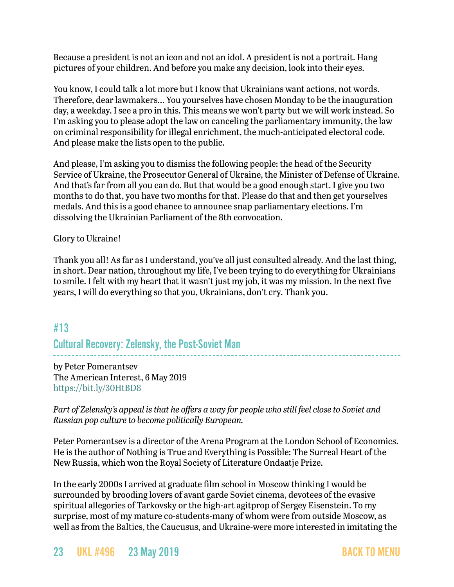Because a president is not an icon and not an idol. A president is not a portrait. Hang pictures of your children. And before you make any decision, look into their eyes.

You know, I could talk a lot more but I know that Ukrainians want actions, not words. Therefore, dear lawmakers... You yourselves have chosen Monday to be the inauguration day, a weekday. I see a pro in this. This means we won't party but we will work instead. So I'm asking you to please adopt the law on canceling the parliamentary immunity, the law on criminal responsibility for illegal enrichment, the much-anticipated electoral code. And please make the lists open to the public.

And please, I'm asking you to dismiss the following people: the head of the Security Service of Ukraine, the Prosecutor General of Ukraine, the Minister of Defense of Ukraine. And that's far from all you can do. But that would be a good enough start. I give you two months to do that, you have two months for that. Please do that and then get yourselves medals. And this is a good chance to announce snap parliamentary elections. I'm dissolving the Ukrainian Parliament of the 8th convocation.

Glory to Ukraine!

Thank you all! As far as I understand, you've all just consulted already. And the last thing, in short. Dear nation, throughout my life, I've been trying to do everything for Ukrainians to smile. I felt with my heart that it wasn't just my job, it was my mission. In the next five years, I will do everything so that you, Ukrainians, don't cry. Thank you.

# <span id="page-22-0"></span>#13 Cultural Recovery: Zelensky, the Post-Soviet Man

by Peter Pomerantsev The American Interest, 6 May 2019 <https://bit.ly/30HtBD8>

*Part of Zelensky's appeal is that he offers a way for people who still feel close to Soviet and Russian pop culture to become politically European.*

Peter Pomerantsev is a director of the Arena Program at the London School of Economics. He is the author of Nothing is True and Everything is Possible: The Surreal Heart of the New Russia, which won the Royal Society of Literature Ondaatje Prize.

In the early 2000s I arrived at graduate film school in Moscow thinking I would be surrounded by brooding lovers of avant garde Soviet cinema, devotees of the evasive spiritual allegories of Tarkovsky or the high-art agitprop of Sergey Eisenstein. To my surprise, most of my mature co-students-many of whom were from outside Moscow, as well as from the Baltics, the Caucusus, and Ukraine-were more interested in imitating the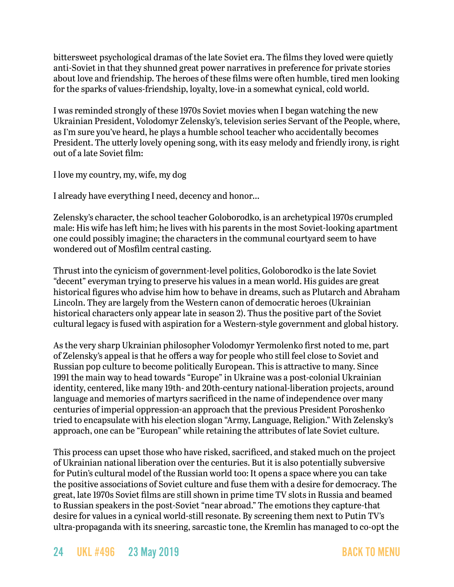bittersweet psychological dramas of the late Soviet era. The films they loved were quietly anti-Soviet in that they shunned great power narratives in preference for private stories about love and friendship. The heroes of these films were often humble, tired men looking for the sparks of values-friendship, loyalty, love-in a somewhat cynical, cold world.

I was reminded strongly of these 1970s Soviet movies when I began watching the new Ukrainian President, Volodomyr Zelensky's, television series Servant of the People, where, as I'm sure you've heard, he plays a humble school teacher who accidentally becomes President. The utterly lovely opening song, with its easy melody and friendly irony, is right out of a late Soviet film:

I love my country, my, wife, my dog

I already have everything I need, decency and honor...

Zelensky's character, the school teacher Goloborodko, is an archetypical 1970s crumpled male: His wife has left him; he lives with his parents in the most Soviet-looking apartment one could possibly imagine; the characters in the communal courtyard seem to have wondered out of Mosfilm central casting.

Thrust into the cynicism of government-level politics, Goloborodko is the late Soviet "decent" everyman trying to preserve his values in a mean world. His guides are great historical figures who advise him how to behave in dreams, such as Plutarch and Abraham Lincoln. They are largely from the Western canon of democratic heroes (Ukrainian historical characters only appear late in season 2). Thus the positive part of the Soviet cultural legacy is fused with aspiration for a Western-style government and global history.

As the very sharp Ukrainian philosopher Volodomyr Yermolenko first noted to me, part of Zelensky's appeal is that he offers a way for people who still feel close to Soviet and Russian pop culture to become politically European. This is attractive to many. Since 1991 the main way to head towards "Europe" in Ukraine was a post-colonial Ukrainian identity, centered, like many 19th- and 20th-century national-liberation projects, around language and memories of martyrs sacrificed in the name of independence over many centuries of imperial oppression-an approach that the previous President Poroshenko tried to encapsulate with his election slogan "Army, Language, Religion." With Zelensky's approach, one can be "European" while retaining the attributes of late Soviet culture.

This process can upset those who have risked, sacrificed, and staked much on the project of Ukrainian national liberation over the centuries. But it is also potentially subversive for Putin's cultural model of the Russian world too: It opens a space where you can take the positive associations of Soviet culture and fuse them with a desire for democracy. The great, late 1970s Soviet films are still shown in prime time TV slots in Russia and beamed to Russian speakers in the post-Soviet "near abroad." The emotions they capture-that desire for values in a cynical world-still resonate. By screening them next to Putin TV's ultra-propaganda with its sneering, sarcastic tone, the Kremlin has managed to co-opt the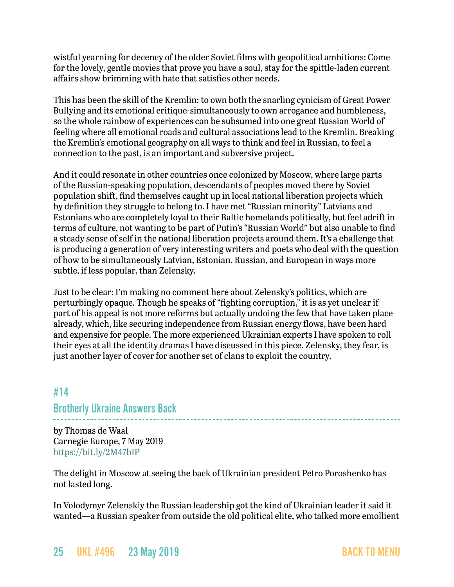wistful yearning for decency of the older Soviet films with geopolitical ambitions: Come for the lovely, gentle movies that prove you have a soul, stay for the spittle-laden current affairs show brimming with hate that satisfies other needs.

This has been the skill of the Kremlin: to own both the snarling cynicism of Great Power Bullying and its emotional critique-simultaneously to own arrogance and humbleness, so the whole rainbow of experiences can be subsumed into one great Russian World of feeling where all emotional roads and cultural associations lead to the Kremlin. Breaking the Kremlin's emotional geography on all ways to think and feel in Russian, to feel a connection to the past, is an important and subversive project.

And it could resonate in other countries once colonized by Moscow, where large parts of the Russian-speaking population, descendants of peoples moved there by Soviet population shift, find themselves caught up in local national liberation projects which by definition they struggle to belong to. I have met "Russian minority" Latvians and Estonians who are completely loyal to their Baltic homelands politically, but feel adrift in terms of culture, not wanting to be part of Putin's "Russian World" but also unable to find a steady sense of self in the national liberation projects around them. It's a challenge that is producing a generation of very interesting writers and poets who deal with the question of how to be simultaneously Latvian, Estonian, Russian, and European in ways more subtle, if less popular, than Zelensky.

Just to be clear: I'm making no comment here about Zelensky's politics, which are perturbingly opaque. Though he speaks of "fighting corruption," it is as yet unclear if part of his appeal is not more reforms but actually undoing the few that have taken place already, which, like securing independence from Russian energy flows, have been hard and expensive for people. The more experienced Ukrainian experts I have spoken to roll their eyes at all the identity dramas I have discussed in this piece. Zelensky, they fear, is just another layer of cover for another set of clans to exploit the country.

### <span id="page-24-0"></span>#14

# Brotherly Ukraine Answers Back

by Thomas de Waal Carnegie Europe, 7 May 2019 <https://bit.ly/2M47bIP>

The delight in Moscow at seeing the back of Ukrainian president Petro Poroshenko has not lasted long.

In Volodymyr Zelenskiy the Russian leadership got the kind of Ukrainian leader it said it wanted—a Russian speaker from outside the old political elite, who talked more emollient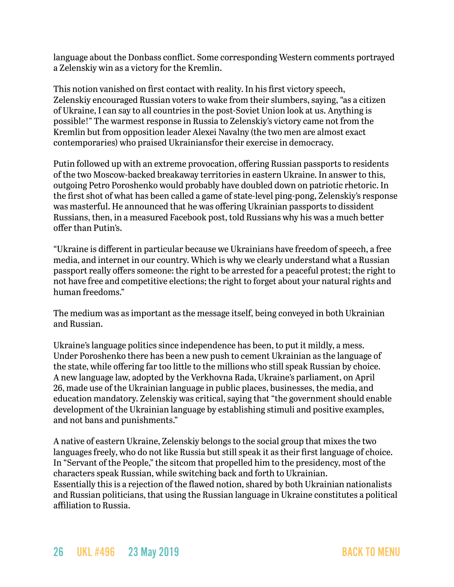language about the Donbass conflict. Some corresponding Western comments portrayed a Zelenskiy win as a victory for the Kremlin.

This notion vanished on first contact with reality. In his first victory speech, Zelenskiy encouraged Russian voters to wake from their slumbers, saying, "as a citizen of Ukraine, I can say to all countries in the post-Soviet Union look at us. Anything is possible!" The warmest response in Russia to Zelenskiy's victory came not from the Kremlin but from opposition leader Alexei Navalny (the two men are almost exact contemporaries) who praised Ukrainiansfor their exercise in democracy.

Putin followed up with an extreme provocation, offering Russian passports to residents of the two Moscow-backed breakaway territories in eastern Ukraine. In answer to this, outgoing Petro Poroshenko would probably have doubled down on patriotic rhetoric. In the first shot of what has been called a game of state-level ping-pong, Zelenskiy's response was masterful. He announced that he was offering Ukrainian passports to dissident Russians, then, in a measured Facebook post, told Russians why his was a much better offer than Putin's.

"Ukraine is different in particular because we Ukrainians have freedom of speech, a free media, and internet in our country. Which is why we clearly understand what a Russian passport really offers someone: the right to be arrested for a peaceful protest; the right to not have free and competitive elections; the right to forget about your natural rights and human freedoms."

The medium was as important as the message itself, being conveyed in both Ukrainian and Russian.

Ukraine's language politics since independence has been, to put it mildly, a mess. Under Poroshenko there has been a new push to cement Ukrainian as the language of the state, while offering far too little to the millions who still speak Russian by choice. A new language law, adopted by the Verkhovna Rada, Ukraine's parliament, on April 26, made use of the Ukrainian language in public places, businesses, the media, and education mandatory. Zelenskiy was critical, saying that "the government should enable development of the Ukrainian language by establishing stimuli and positive examples, and not bans and punishments."

A native of eastern Ukraine, Zelenskiy belongs to the social group that mixes the two languages freely, who do not like Russia but still speak it as their first language of choice. In "Servant of the People," the sitcom that propelled him to the presidency, most of the characters speak Russian, while switching back and forth to Ukrainian. Essentially this is a rejection of the flawed notion, shared by both Ukrainian nationalists and Russian politicians, that using the Russian language in Ukraine constitutes a political affiliation to Russia.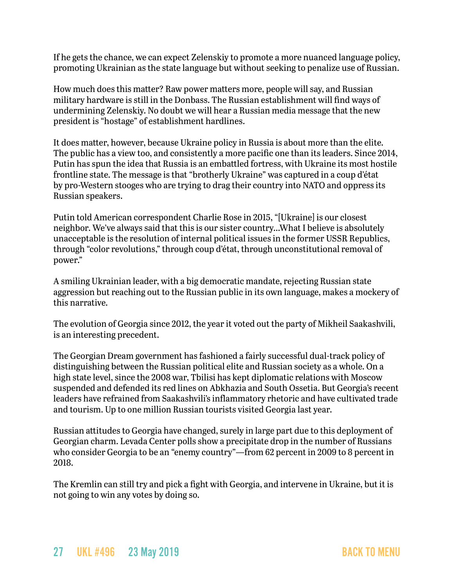If he gets the chance, we can expect Zelenskiy to promote a more nuanced language policy, promoting Ukrainian as the state language but without seeking to penalize use of Russian.

How much does this matter? Raw power matters more, people will say, and Russian military hardware is still in the Donbass. The Russian establishment will find ways of undermining Zelenskiy. No doubt we will hear a Russian media message that the new president is "hostage" of establishment hardlines.

It does matter, however, because Ukraine policy in Russia is about more than the elite. The public has a view too, and consistently a more pacific one than its leaders. Since 2014, Putin has spun the idea that Russia is an embattled fortress, with Ukraine its most hostile frontline state. The message is that "brotherly Ukraine" was captured in a coup d'état by pro-Western stooges who are trying to drag their country into NATO and oppress its Russian speakers.

Putin told American correspondent Charlie Rose in 2015, "[Ukraine] is our closest neighbor. We've always said that this is our sister country…What I believe is absolutely unacceptable is the resolution of internal political issues in the former USSR Republics, through "color revolutions," through coup d'état, through unconstitutional removal of power."

A smiling Ukrainian leader, with a big democratic mandate, rejecting Russian state aggression but reaching out to the Russian public in its own language, makes a mockery of this narrative.

The evolution of Georgia since 2012, the year it voted out the party of Mikheil Saakashvili, is an interesting precedent.

The Georgian Dream government has fashioned a fairly successful dual-track policy of distinguishing between the Russian political elite and Russian society as a whole. On a high state level, since the 2008 war, Tbilisi has kept diplomatic relations with Moscow suspended and defended its red lines on Abkhazia and South Ossetia. But Georgia's recent leaders have refrained from Saakashvili's inflammatory rhetoric and have cultivated trade and tourism. Up to one million Russian tourists visited Georgia last year.

Russian attitudes to Georgia have changed, surely in large part due to this deployment of Georgian charm. Levada Center polls show a precipitate drop in the number of Russians who consider Georgia to be an "enemy country"—from 62 percent in 2009 to 8 percent in 2018.

The Kremlin can still try and pick a fight with Georgia, and intervene in Ukraine, but it is not going to win any votes by doing so.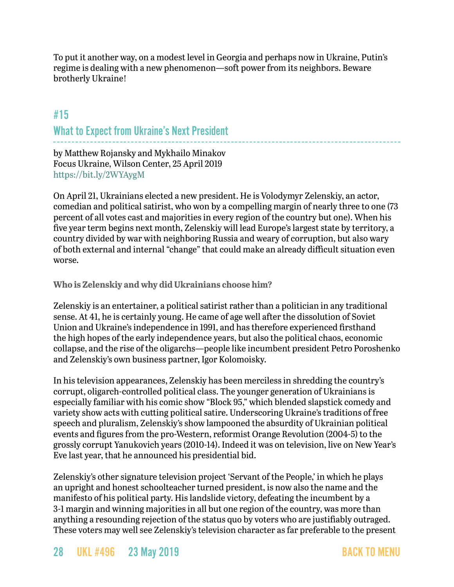To put it another way, on a modest level in Georgia and perhaps now in Ukraine, Putin's regime is dealing with a new phenomenon—soft power from its neighbors. Beware brotherly Ukraine!

# #15 What to Expect from Ukraine's Next President

by Matthew Rojansky and Mykhailo Minakov Focus Ukraine, Wilson Center, 25 April 2019 <https://bit.ly/2WYAygM>

On April 21, Ukrainians elected a new president. He is Volodymyr Zelenskiy, an actor, comedian and political satirist, who won by a compelling margin of nearly three to one (73 percent of all votes cast and majorities in every region of the country but one). When his five year term begins next month, Zelenskiy will lead Europe's largest state by territory, a country divided by war with neighboring Russia and weary of corruption, but also wary of both external and internal "change" that could make an already difficult situation even worse.

**Who is Zelenskiy and why did Ukrainians choose him?**

Zelenskiy is an entertainer, a political satirist rather than a politician in any traditional sense. At 41, he is certainly young. He came of age well after the dissolution of Soviet Union and Ukraine's independence in 1991, and has therefore experienced firsthand the high hopes of the early independence years, but also the political chaos, economic collapse, and the rise of the oligarchs—people like incumbent president Petro Poroshenko and Zelenskiy's own business partner, Igor Kolomoisky.

In his television appearances, Zelenskiy has been merciless in shredding the country's corrupt, oligarch-controlled political class. The younger generation of Ukrainians is especially familiar with his comic show "Block 95," which blended slapstick comedy and variety show acts with cutting political satire. Underscoring Ukraine's traditions of free speech and pluralism, Zelenskiy's show lampooned the absurdity of Ukrainian political events and figures from the pro-Western, reformist Orange Revolution (2004-5) to the grossly corrupt Yanukovich years (2010-14). Indeed it was on television, live on New Year's Eve last year, that he announced his presidential bid.

Zelenskiy's other signature television project 'Servant of the People,' in which he plays an upright and honest schoolteacher turned president, is now also the name and the manifesto of his political party. His landslide victory, defeating the incumbent by a 3-1 margin and winning majorities in all but one region of the country, was more than anything a resounding rejection of the status quo by voters who are justifiably outraged. These voters may well see Zelenskiy's television character as far preferable to the present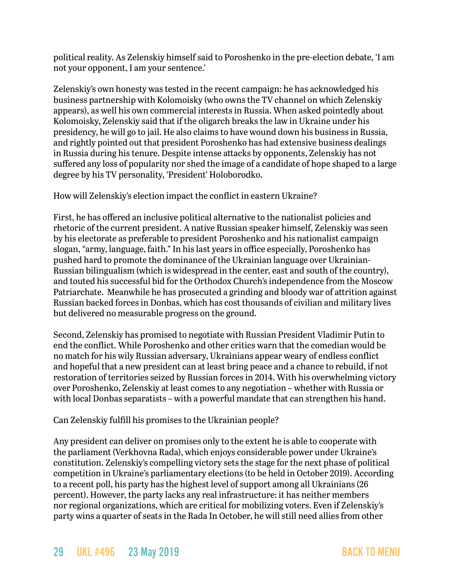political reality. As Zelenskiy himself said to Poroshenko in the pre-election debate, 'I am not your opponent, I am your sentence.'

Zelenskiy's own honesty was tested in the recent campaign: he has acknowledged his business partnership with Kolomoisky (who owns the TV channel on which Zelenskiy appears), as well his own commercial interests in Russia. When asked pointedly about Kolomoisky, Zelenskiy said that if the oligarch breaks the law in Ukraine under his presidency, he will go to jail. He also claims to have wound down his business in Russia, and rightly pointed out that president Poroshenko has had extensive business dealings in Russia during his tenure. Despite intense attacks by opponents, Zelenskiy has not suffered any loss of popularity nor shed the image of a candidate of hope shaped to a large degree by his TV personality, 'President' Holoborodko.

How will Zelenskiy's election impact the conflict in eastern Ukraine?

First, he has offered an inclusive political alternative to the nationalist policies and rhetoric of the current president. A native Russian speaker himself, Zelenskiy was seen by his electorate as preferable to president Poroshenko and his nationalist campaign slogan, "army, language, faith." In his last years in office especially, Poroshenko has pushed hard to promote the dominance of the Ukrainian language over Ukrainian-Russian bilingualism (which is widespread in the center, east and south of the country), and touted his successful bid for the Orthodox Church's independence from the Moscow Patriarchate. Meanwhile he has prosecuted a grinding and bloody war of attrition against Russian backed forces in Donbas, which has cost thousands of civilian and military lives but delivered no measurable progress on the ground.

Second, Zelenskiy has promised to negotiate with Russian President Vladimir Putin to end the conflict. While Poroshenko and other critics warn that the comedian would be no match for his wily Russian adversary, Ukrainians appear weary of endless conflict and hopeful that a new president can at least bring peace and a chance to rebuild, if not restoration of territories seized by Russian forces in 2014. With his overwhelming victory over Poroshenko, Zelenskiy at least comes to any negotiation – whether with Russia or with local Donbas separatists – with a powerful mandate that can strengthen his hand.

Can Zelenskiy fulfill his promises to the Ukrainian people?

Any president can deliver on promises only to the extent he is able to cooperate with the parliament (Verkhovna Rada), which enjoys considerable power under Ukraine's constitution. Zelenskiy's compelling victory sets the stage for the next phase of political competition in Ukraine's parliamentary elections (to be held in October 2019). According to a recent poll, his party has the highest level of support among all Ukrainians (26 percent). However, the party lacks any real infrastructure: it has neither members nor regional organizations, which are critical for mobilizing voters. Even if Zelenskiy's party wins a quarter of seats in the Rada In October, he will still need allies from other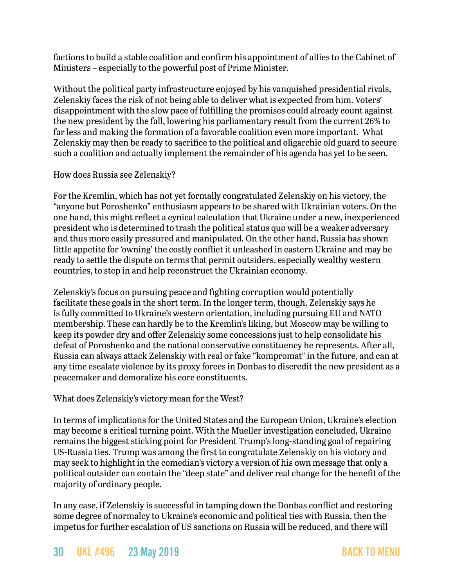factions to build a stable coalition and confirm his appointment of allies to the Cabinet of Ministers – especially to the powerful post of Prime Minister.

Without the political party infrastructure enjoyed by his vanquished presidential rivals, Zelenskiy faces the risk of not being able to deliver what is expected from him. Voters' disappointment with the slow pace of fulfilling the promises could already count against the new president by the fall, lowering his parliamentary result from the current 26% to far less and making the formation of a favorable coalition even more important. What Zelenskiy may then be ready to sacrifice to the political and oligarchic old guard to secure such a coalition and actually implement the remainder of his agenda has yet to be seen.

#### How does Russia see Zelenskiy?

For the Kremlin, which has not yet formally congratulated Zelenskiy on his victory, the "anyone but Poroshenko" enthusiasm appears to be shared with Ukrainian voters. On the one hand, this might reflect a cynical calculation that Ukraine under a new, inexperienced president who is determined to trash the political status quo will be a weaker adversary and thus more easily pressured and manipulated. On the other hand, Russia has shown little appetite for 'owning' the costly conflict it unleashed in eastern Ukraine and may be ready to settle the dispute on terms that permit outsiders, especially wealthy western countries, to step in and help reconstruct the Ukrainian economy.

Zelenskiy's focus on pursuing peace and fighting corruption would potentially facilitate these goals in the short term. In the longer term, though, Zelenskiy says he is fully committed to Ukraine's western orientation, including pursuing EU and NATO membership. These can hardly be to the Kremlin's liking, but Moscow may be willing to keep its powder dry and offer Zelenskiy some concessions just to help consolidate his defeat of Poroshenko and the national conservative constituency he represents. After all, Russia can always attack Zelenskiy with real or fake "kompromat" in the future, and can at any time escalate violence by its proxy forces in Donbas to discredit the new president as a peacemaker and demoralize his core constituents.

#### What does Zelenskiy's victory mean for the West?

In terms of implications for the United States and the European Union, Ukraine's election may become a critical turning point. With the Mueller investigation concluded, Ukraine remains the biggest sticking point for President Trump's long-standing goal of repairing US-Russia ties. Trump was among the first to congratulate Zelenskiy on his victory and may seek to highlight in the comedian's victory a version of his own message that only a political outsider can contain the "deep state" and deliver real change for the benefit of the majority of ordinary people.

In any case, if Zelenskiy is successful in tamping down the Donbas conflict and restoring some degree of normalcy to Ukraine's economic and political ties with Russia, then the impetus for further escalation of US sanctions on Russia will be reduced, and there will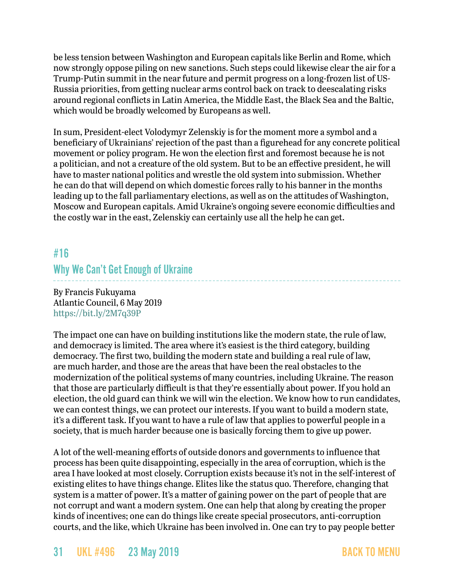be less tension between Washington and European capitals like Berlin and Rome, which now strongly oppose piling on new sanctions. Such steps could likewise clear the air for a Trump-Putin summit in the near future and permit progress on a long-frozen list of US-Russia priorities, from getting nuclear arms control back on track to deescalating risks around regional conflicts in Latin America, the Middle East, the Black Sea and the Baltic, which would be broadly welcomed by Europeans as well.

In sum, President-elect Volodymyr Zelenskiy is for the moment more a symbol and a beneficiary of Ukrainians' rejection of the past than a figurehead for any concrete political movement or policy program. He won the election first and foremost because he is not a politician, and not a creature of the old system. But to be an effective president, he will have to master national politics and wrestle the old system into submission. Whether he can do that will depend on which domestic forces rally to his banner in the months leading up to the fall parliamentary elections, as well as on the attitudes of Washington, Moscow and European capitals. Amid Ukraine's ongoing severe economic difficulties and the costly war in the east, Zelenskiy can certainly use all the help he can get.

# #16 Why We Can't Get Enough of Ukraine

By Francis Fukuyama Atlantic Council, 6 May 2019 <https://bit.ly/2M7q39P>

The impact one can have on building institutions like the modern state, the rule of law, and democracy is limited. The area where it's easiest is the third category, building democracy. The first two, building the modern state and building a real rule of law, are much harder, and those are the areas that have been the real obstacles to the modernization of the political systems of many countries, including Ukraine. The reason that those are particularly difficult is that they're essentially about power. If you hold an election, the old guard can think we will win the election. We know how to run candidates, we can contest things, we can protect our interests. If you want to build a modern state, it's a different task. If you want to have a rule of law that applies to powerful people in a society, that is much harder because one is basically forcing them to give up power.

A lot of the well-meaning efforts of outside donors and governments to influence that process has been quite disappointing, especially in the area of corruption, which is the area I have looked at most closely. Corruption exists because it's not in the self-interest of existing elites to have things change. Elites like the status quo. Therefore, changing that system is a matter of power. It's a matter of gaining power on the part of people that are not corrupt and want a modern system. One can help that along by creating the proper kinds of incentives; one can do things like create special prosecutors, anti-corruption courts, and the like, which Ukraine has been involved in. One can try to pay people better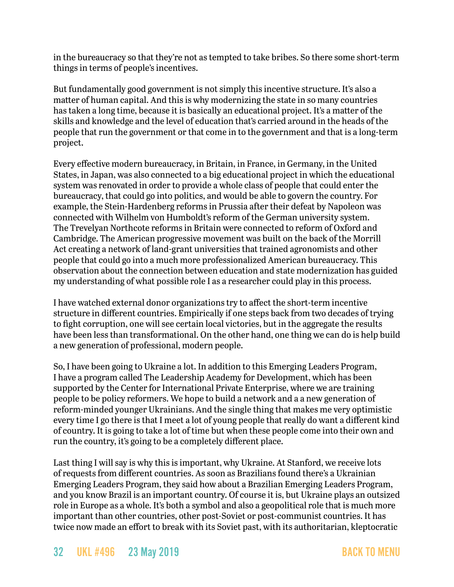in the bureaucracy so that they're not as tempted to take bribes. So there some short-term things in terms of people's incentives.

But fundamentally good government is not simply this incentive structure. It's also a matter of human capital. And this is why modernizing the state in so many countries has taken a long time, because it is basically an educational project. It's a matter of the skills and knowledge and the level of education that's carried around in the heads of the people that run the government or that come in to the government and that is a long-term project.

Every effective modern bureaucracy, in Britain, in France, in Germany, in the United States, in Japan, was also connected to a big educational project in which the educational system was renovated in order to provide a whole class of people that could enter the bureaucracy, that could go into politics, and would be able to govern the country. For example, the Stein-Hardenberg reforms in Prussia after their defeat by Napoleon was connected with Wilhelm von Humboldt's reform of the German university system. The Trevelyan Northcote reforms in Britain were connected to reform of Oxford and Cambridge. The American progressive movement was built on the back of the Morrill Act creating a network of land-grant universities that trained agronomists and other people that could go into a much more professionalized American bureaucracy. This observation about the connection between education and state modernization has guided my understanding of what possible role I as a researcher could play in this process.

I have watched external donor organizations try to affect the short-term incentive structure in different countries. Empirically if one steps back from two decades of trying to fight corruption, one will see certain local victories, but in the aggregate the results have been less than transformational. On the other hand, one thing we can do is help build a new generation of professional, modern people.

So, I have been going to Ukraine a lot. In addition to this Emerging Leaders Program, I have a program called The Leadership Academy for Development, which has been supported by the Center for International Private Enterprise, where we are training people to be policy reformers. We hope to build a network and a a new generation of reform-minded younger Ukrainians. And the single thing that makes me very optimistic every time I go there is that I meet a lot of young people that really do want a different kind of country. It is going to take a lot of time but when these people come into their own and run the country, it's going to be a completely different place.

Last thing I will say is why this is important, why Ukraine. At Stanford, we receive lots of requests from different countries. As soon as Brazilians found there's a Ukrainian Emerging Leaders Program, they said how about a Brazilian Emerging Leaders Program, and you know Brazil is an important country. Of course it is, but Ukraine plays an outsized role in Europe as a whole. It's both a symbol and also a geopolitical role that is much more important than other countries, other post-Soviet or post-communist countries. It has twice now made an effort to break with its Soviet past, with its authoritarian, kleptocratic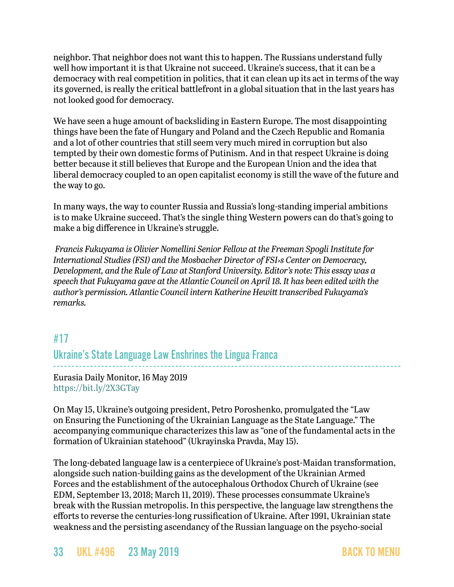neighbor. That neighbor does not want this to happen. The Russians understand fully well how important it is that Ukraine not succeed. Ukraine's success, that it can be a democracy with real competition in politics, that it can clean up its act in terms of the way its governed, is really the critical battlefront in a global situation that in the last years has not looked good for democracy.

We have seen a huge amount of backsliding in Eastern Europe. The most disappointing things have been the fate of Hungary and Poland and the Czech Republic and Romania and a lot of other countries that still seem very much mired in corruption but also tempted by their own domestic forms of Putinism. And in that respect Ukraine is doing better because it still believes that Europe and the European Union and the idea that liberal democracy coupled to an open capitalist economy is still the wave of the future and the way to go.

In many ways, the way to counter Russia and Russia's long-standing imperial ambitions is to make Ukraine succeed. That's the single thing Western powers can do that's going to make a big difference in Ukraine's struggle.

 *Francis Fukuyama is Olivier Nomellini Senior Fellow at the Freeman Spogli Institute for International Studies (FSI) and the Mosbacher Director of FSI›s Center on Democracy, Development, and the Rule of Law at Stanford University. Editor's note: This essay was a speech that Fukuyama gave at the Atlantic Council on April 18. It has been edited with the author's permission. Atlantic Council intern Katherine Hewitt transcribed Fukuyama's remarks.* 

### #17

### Ukraine's State Language Law Enshrines the Lingua Franca

Eurasia Daily Monitor, 16 May 2019 <https://bit.ly/2X3GTay>

On May 15, Ukraine's outgoing president, Petro Poroshenko, promulgated the "Law on Ensuring the Functioning of the Ukrainian Language as the State Language." The accompanying communique characterizes this law as "one of the fundamental acts in the formation of Ukrainian statehood" (Ukrayinska Pravda, May 15).

The long-debated language law is a centerpiece of Ukraine's post-Maidan transformation, alongside such nation-building gains as the development of the Ukrainian Armed Forces and the establishment of the autocephalous Orthodox Church of Ukraine (see EDM, September 13, 2018; March 11, 2019). These processes consummate Ukraine's break with the Russian metropolis. In this perspective, the language law strengthens the efforts to reverse the centuries-long russification of Ukraine. After 1991, Ukrainian state weakness and the persisting ascendancy of the Russian language on the psycho-social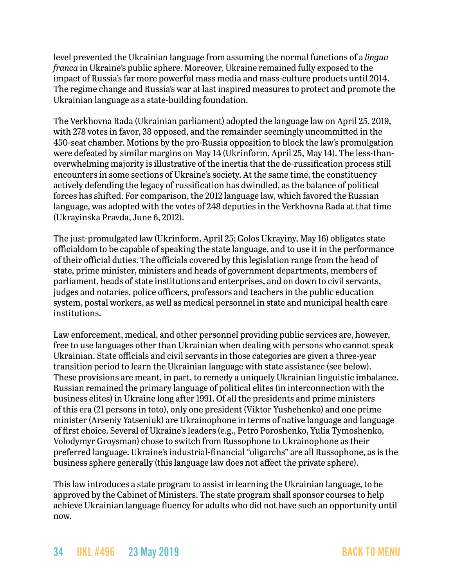level prevented the Ukrainian language from assuming the normal functions of a *lingua franca* in Ukraine's public sphere. Moreover, Ukraine remained fully exposed to the impact of Russia's far more powerful mass media and mass-culture products until 2014. The regime change and Russia's war at last inspired measures to protect and promote the Ukrainian language as a state-building foundation.

The Verkhovna Rada (Ukrainian parliament) adopted the language law on April 25, 2019, with 278 votes in favor, 38 opposed, and the remainder seemingly uncommitted in the 450-seat chamber. Motions by the pro-Russia opposition to block the law's promulgation were defeated by similar margins on May 14 (Ukrinform, April 25, May 14). The less-thanoverwhelming majority is illustrative of the inertia that the de-russification process still encounters in some sections of Ukraine's society. At the same time, the constituency actively defending the legacy of russification has dwindled, as the balance of political forces has shifted. For comparison, the 2012 language law, which favored the Russian language, was adopted with the votes of 248 deputies in the Verkhovna Rada at that time (Ukrayinska Pravda, June 6, 2012).

The just-promulgated law (Ukrinform, April 25; Golos Ukrayiny, May 16) obligates state officialdom to be capable of speaking the state language, and to use it in the performance of their official duties. The officials covered by this legislation range from the head of state, prime minister, ministers and heads of government departments, members of parliament, heads of state institutions and enterprises, and on down to civil servants, judges and notaries, police officers, professors and teachers in the public education system, postal workers, as well as medical personnel in state and municipal health care institutions.

Law enforcement, medical, and other personnel providing public services are, however, free to use languages other than Ukrainian when dealing with persons who cannot speak Ukrainian. State officials and civil servants in those categories are given a three-year transition period to learn the Ukrainian language with state assistance (see below). These provisions are meant, in part, to remedy a uniquely Ukrainian linguistic imbalance. Russian remained the primary language of political elites (in interconnection with the business elites) in Ukraine long after 1991. Of all the presidents and prime ministers of this era (21 persons in toto), only one president (Viktor Yushchenko) and one prime minister (Arseniy Yatseniuk) are Ukrainophone in terms of native language and language of first choice. Several of Ukraine's leaders (e.g., Petro Poroshenko, Yulia Tymoshenko, Volodymyr Groysman) chose to switch from Russophone to Ukrainophone as their preferred language. Ukraine's industrial-financial "oligarchs" are all Russophone, as is the business sphere generally (this language law does not affect the private sphere).

This law introduces a state program to assist in learning the Ukrainian language, to be approved by the Cabinet of Ministers. The state program shall sponsor courses to help achieve Ukrainian language fluency for adults who did not have such an opportunity until now.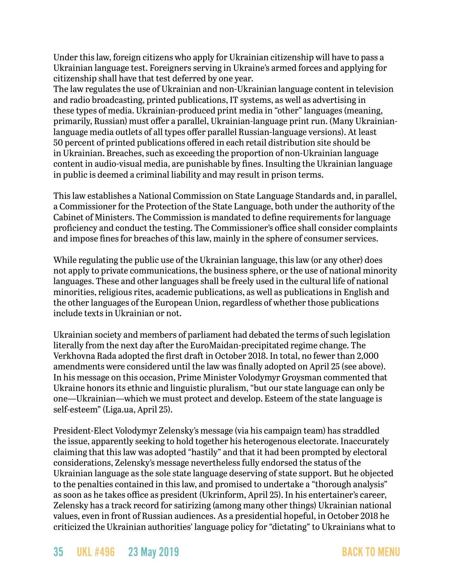Under this law, foreign citizens who apply for Ukrainian citizenship will have to pass a Ukrainian language test. Foreigners serving in Ukraine's armed forces and applying for citizenship shall have that test deferred by one year.

The law regulates the use of Ukrainian and non-Ukrainian language content in television and radio broadcasting, printed publications, IT systems, as well as advertising in these types of media. Ukrainian-produced print media in "other" languages (meaning, primarily, Russian) must offer a parallel, Ukrainian-language print run. (Many Ukrainianlanguage media outlets of all types offer parallel Russian-language versions). At least 50 percent of printed publications offered in each retail distribution site should be in Ukrainian. Breaches, such as exceeding the proportion of non-Ukrainian language content in audio-visual media, are punishable by fines. Insulting the Ukrainian language in public is deemed a criminal liability and may result in prison terms.

This law establishes a National Commission on State Language Standards and, in parallel, a Commissioner for the Protection of the State Language, both under the authority of the Cabinet of Ministers. The Commission is mandated to define requirements for language proficiency and conduct the testing. The Commissioner's office shall consider complaints and impose fines for breaches of this law, mainly in the sphere of consumer services.

While regulating the public use of the Ukrainian language, this law (or any other) does not apply to private communications, the business sphere, or the use of national minority languages. These and other languages shall be freely used in the cultural life of national minorities, religious rites, academic publications, as well as publications in English and the other languages of the European Union, regardless of whether those publications include texts in Ukrainian or not.

Ukrainian society and members of parliament had debated the terms of such legislation literally from the next day after the EuroMaidan-precipitated regime change. The Verkhovna Rada adopted the first draft in October 2018. In total, no fewer than 2,000 amendments were considered until the law was finally adopted on April 25 (see above). In his message on this occasion, Prime Minister Volodymyr Groysman commented that Ukraine honors its ethnic and linguistic pluralism, "but our state language can only be one—Ukrainian—which we must protect and develop. Esteem of the state language is self-esteem" (Liga.ua, April 25).

President-Elect Volodymyr Zelensky's message (via his campaign team) has straddled the issue, apparently seeking to hold together his heterogenous electorate. Inaccurately claiming that this law was adopted "hastily" and that it had been prompted by electoral considerations, Zelensky's message nevertheless fully endorsed the status of the Ukrainian language as the sole state language deserving of state support. But he objected to the penalties contained in this law, and promised to undertake a "thorough analysis" as soon as he takes office as president (Ukrinform, April 25). In his entertainer's career, Zelensky has a track record for satirizing (among many other things) Ukrainian national values, even in front of Russian audiences. As a presidential hopeful, in October 2018 he criticized the Ukrainian authorities' language policy for "dictating" to Ukrainians what to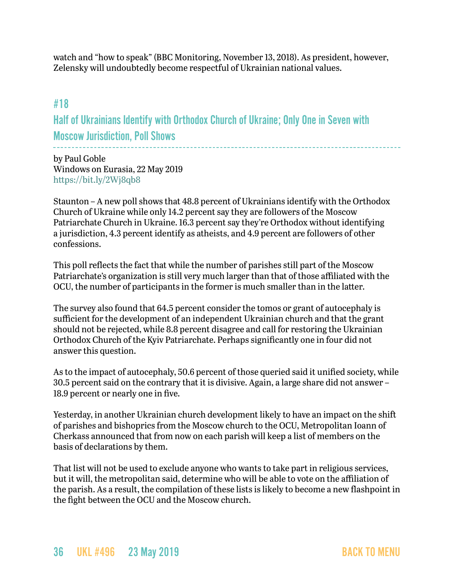watch and "how to speak" (BBC Monitoring, November 13, 2018). As president, however, Zelensky will undoubtedly become respectful of Ukrainian national values.

### <span id="page-35-0"></span>#18

Half of Ukrainians Identify with Orthodox Church of Ukraine; Only One in Seven with Moscow Jurisdiction, Poll Shows

by Paul Goble Windows on Eurasia, 22 May 2019 <https://bit.ly/2Wj8qb8>

Staunton – A new poll shows that 48.8 percent of Ukrainians identify with the Orthodox Church of Ukraine while only 14.2 percent say they are followers of the Moscow Patriarchate Church in Ukraine. 16.3 percent say they're Orthodox without identifying a jurisdiction, 4.3 percent identify as atheists, and 4.9 percent are followers of other confessions.

This poll reflects the fact that while the number of parishes still part of the Moscow Patriarchate's organization is still very much larger than that of those affiliated with the OCU, the number of participants in the former is much smaller than in the latter.

The survey also found that 64.5 percent consider the tomos or grant of autocephaly is sufficient for the development of an independent Ukrainian church and that the grant should not be rejected, while 8.8 percent disagree and call for restoring the Ukrainian Orthodox Church of the Kyiv Patriarchate. Perhaps significantly one in four did not answer this question.

As to the impact of autocephaly, 50.6 percent of those queried said it unified society, while 30.5 percent said on the contrary that it is divisive. Again, a large share did not answer – 18.9 percent or nearly one in five.

Yesterday, in another Ukrainian church development likely to have an impact on the shift of parishes and bishoprics from the Moscow church to the OCU, Metropolitan Ioann of Cherkass announced that from now on each parish will keep a list of members on the basis of declarations by them.

That list will not be used to exclude anyone who wants to take part in religious services, but it will, the metropolitan said, determine who will be able to vote on the affiliation of the parish. As a result, the compilation of these lists is likely to become a new flashpoint in the fight between the OCU and the Moscow church.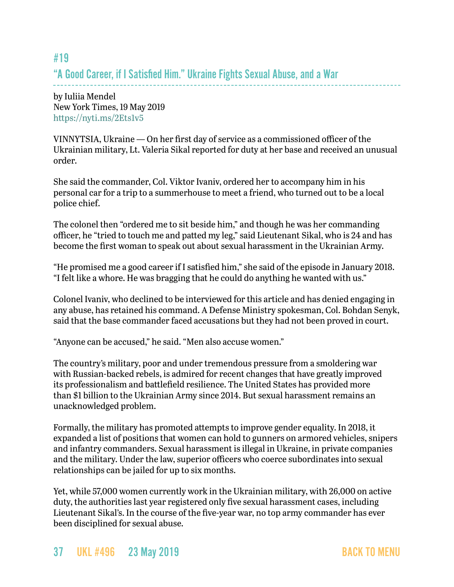# #19 "A Good Career, if I Satisfied Him." Ukraine Fights Sexual Abuse, and a War

by Iuliia Mendel New York Times, 19 May 2019 <https://nyti.ms/2Ets1v5>

VINNYTSIA, Ukraine — On her first day of service as a commissioned officer of the Ukrainian military, Lt. Valeria Sikal reported for duty at her base and received an unusual order.

She said the commander, Col. Viktor Ivaniv, ordered her to accompany him in his personal car for a trip to a summerhouse to meet a friend, who turned out to be a local police chief.

The colonel then "ordered me to sit beside him," and though he was her commanding officer, he "tried to touch me and patted my leg," said Lieutenant Sikal, who is 24 and has become the first woman to speak out about sexual harassment in the Ukrainian Army.

"He promised me a good career if I satisfied him," she said of the episode in January 2018. "I felt like a whore. He was bragging that he could do anything he wanted with us."

Colonel Ivaniv, who declined to be interviewed for this article and has denied engaging in any abuse, has retained his command. A Defense Ministry spokesman, Col. Bohdan Senyk, said that the base commander faced accusations but they had not been proved in court.

"Anyone can be accused," he said. "Men also accuse women."

The country's military, poor and under tremendous pressure from a smoldering war with Russian-backed rebels, is admired for recent changes that have greatly improved its professionalism and battlefield resilience. The United States has provided more than \$1 billion to the Ukrainian Army since 2014. But sexual harassment remains an unacknowledged problem.

Formally, the military has promoted attempts to improve gender equality. In 2018, it expanded a list of positions that women can hold to gunners on armored vehicles, snipers and infantry commanders. Sexual harassment is illegal in Ukraine, in private companies and the military. Under the law, superior officers who coerce subordinates into sexual relationships can be jailed for up to six months.

Yet, while 57,000 women currently work in the Ukrainian military, with 26,000 on active duty, the authorities last year registered only five sexual harassment cases, including Lieutenant Sikal's. In the course of the five-year war, no top army commander has ever been disciplined for sexual abuse.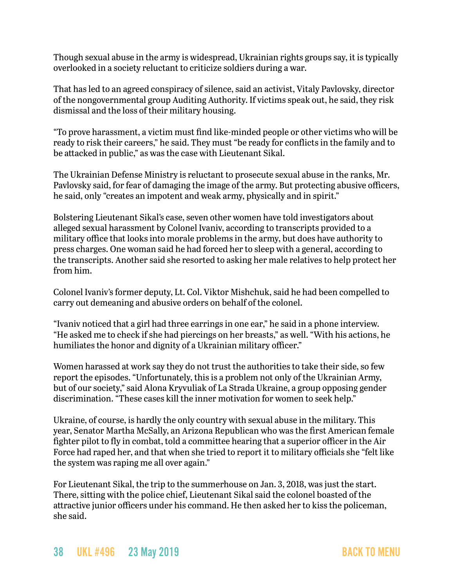Though sexual abuse in the army is widespread, Ukrainian rights groups say, it is typically overlooked in a society reluctant to criticize soldiers during a war.

That has led to an agreed conspiracy of silence, said an activist, Vitaly Pavlovsky, director of the nongovernmental group Auditing Authority. If victims speak out, he said, they risk dismissal and the loss of their military housing.

"To prove harassment, a victim must find like-minded people or other victims who will be ready to risk their careers," he said. They must "be ready for conflicts in the family and to be attacked in public," as was the case with Lieutenant Sikal.

The Ukrainian Defense Ministry is reluctant to prosecute sexual abuse in the ranks, Mr. Pavlovsky said, for fear of damaging the image of the army. But protecting abusive officers, he said, only "creates an impotent and weak army, physically and in spirit."

Bolstering Lieutenant Sikal's case, seven other women have told investigators about alleged sexual harassment by Colonel Ivaniv, according to transcripts provided to a military office that looks into morale problems in the army, but does have authority to press charges. One woman said he had forced her to sleep with a general, according to the transcripts. Another said she resorted to asking her male relatives to help protect her from him.

Colonel Ivaniv's former deputy, Lt. Col. Viktor Mishchuk, said he had been compelled to carry out demeaning and abusive orders on behalf of the colonel.

"Ivaniv noticed that a girl had three earrings in one ear," he said in a phone interview. "He asked me to check if she had piercings on her breasts," as well. "With his actions, he humiliates the honor and dignity of a Ukrainian military officer."

Women harassed at work say they do not trust the authorities to take their side, so few report the episodes. "Unfortunately, this is a problem not only of the Ukrainian Army, but of our society," said Alona Kryvuliak of La Strada Ukraine, a group opposing gender discrimination. "These cases kill the inner motivation for women to seek help."

Ukraine, of course, is hardly the only country with sexual abuse in the military. This year, Senator Martha McSally, an Arizona Republican who was the first American female fighter pilot to fly in combat, told a committee hearing that a superior officer in the Air Force had raped her, and that when she tried to report it to military officials she "felt like the system was raping me all over again."

For Lieutenant Sikal, the trip to the summerhouse on Jan. 3, 2018, was just the start. There, sitting with the police chief, Lieutenant Sikal said the colonel boasted of the attractive junior officers under his command. He then asked her to kiss the policeman, she said.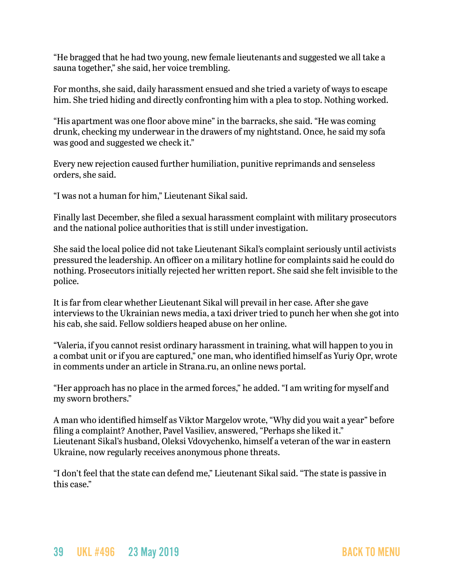"He bragged that he had two young, new female lieutenants and suggested we all take a sauna together," she said, her voice trembling.

For months, she said, daily harassment ensued and she tried a variety of ways to escape him. She tried hiding and directly confronting him with a plea to stop. Nothing worked.

"His apartment was one floor above mine" in the barracks, she said. "He was coming drunk, checking my underwear in the drawers of my nightstand. Once, he said my sofa was good and suggested we check it."

Every new rejection caused further humiliation, punitive reprimands and senseless orders, she said.

"I was not a human for him," Lieutenant Sikal said.

Finally last December, she filed a sexual harassment complaint with military prosecutors and the national police authorities that is still under investigation.

She said the local police did not take Lieutenant Sikal's complaint seriously until activists pressured the leadership. An officer on a military hotline for complaints said he could do nothing. Prosecutors initially rejected her written report. She said she felt invisible to the police.

It is far from clear whether Lieutenant Sikal will prevail in her case. After she gave interviews to the Ukrainian news media, a taxi driver tried to punch her when she got into his cab, she said. Fellow soldiers heaped abuse on her online.

"Valeria, if you cannot resist ordinary harassment in training, what will happen to you in a combat unit or if you are captured," one man, who identified himself as Yuriy Opr, wrote in comments under an article in Strana.ru, an online news portal.

"Her approach has no place in the armed forces," he added. "I am writing for myself and my sworn brothers."

A man who identified himself as Viktor Margelov wrote, "Why did you wait a year" before filing a complaint? Another, Pavel Vasiliev, answered, "Perhaps she liked it." Lieutenant Sikal's husband, Oleksi Vdovychenko, himself a veteran of the war in eastern Ukraine, now regularly receives anonymous phone threats.

"I don't feel that the state can defend me," Lieutenant Sikal said. "The state is passive in this case."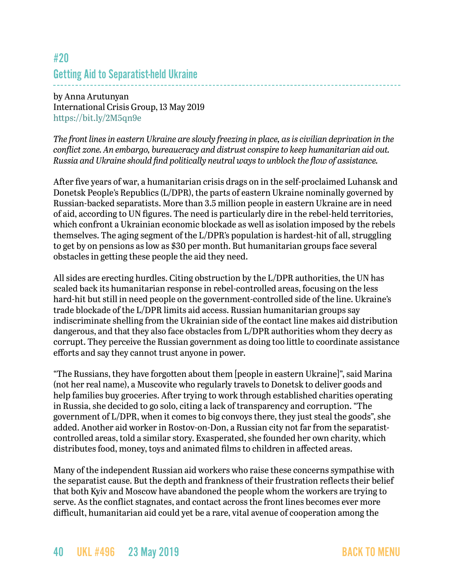# <span id="page-39-0"></span>#20 Getting Aid to Separatist-held Ukraine

by Anna Arutunyan International Crisis Group, 13 May 2019 <https://bit.ly/2M5qn9e>

*The front lines in eastern Ukraine are slowly freezing in place, as is civilian deprivation in the conflict zone. An embargo, bureaucracy and distrust conspire to keep humanitarian aid out. Russia and Ukraine should find politically neutral ways to unblock the flow of assistance.*

After five years of war, a humanitarian crisis drags on in the self-proclaimed Luhansk and Donetsk People's Republics (L/DPR), the parts of eastern Ukraine nominally governed by Russian-backed separatists. More than 3.5 million people in eastern Ukraine are in need of aid, according to UN figures. The need is particularly dire in the rebel-held territories, which confront a Ukrainian economic blockade as well as isolation imposed by the rebels themselves. The aging segment of the L/DPR's population is hardest-hit of all, struggling to get by on pensions as low as \$30 per month. But humanitarian groups face several obstacles in getting these people the aid they need.

All sides are erecting hurdles. Citing obstruction by the L/DPR authorities, the UN has scaled back its humanitarian response in rebel-controlled areas, focusing on the less hard-hit but still in need people on the government-controlled side of the line. Ukraine's trade blockade of the L/DPR limits aid access. Russian humanitarian groups say indiscriminate shelling from the Ukrainian side of the contact line makes aid distribution dangerous, and that they also face obstacles from L/DPR authorities whom they decry as corrupt. They perceive the Russian government as doing too little to coordinate assistance efforts and say they cannot trust anyone in power.

"The Russians, they have forgotten about them [people in eastern Ukraine]", said Marina (not her real name), a Muscovite who regularly travels to Donetsk to deliver goods and help families buy groceries. After trying to work through established charities operating in Russia, she decided to go solo, citing a lack of transparency and corruption. "The government of L/DPR, when it comes to big convoys there, they just steal the goods", she added. Another aid worker in Rostov-on-Don, a Russian city not far from the separatistcontrolled areas, told a similar story. Exasperated, she founded her own charity, which distributes food, money, toys and animated films to children in affected areas.

Many of the independent Russian aid workers who raise these concerns sympathise with the separatist cause. But the depth and frankness of their frustration reflects their belief that both Kyiv and Moscow have abandoned the people whom the workers are trying to serve. As the conflict stagnates, and contact across the front lines becomes ever more difficult, humanitarian aid could yet be a rare, vital avenue of cooperation among the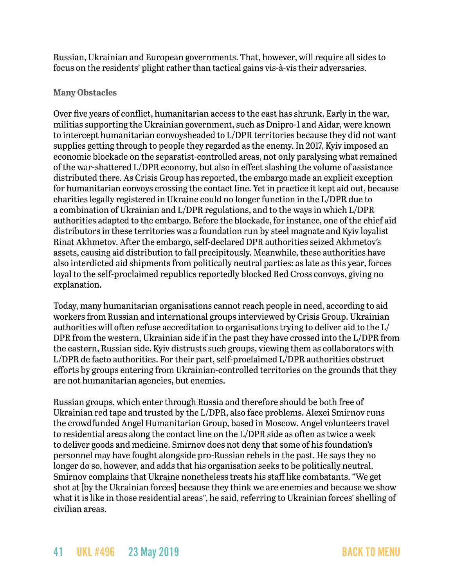Russian, Ukrainian and European governments. That, however, will require all sides to focus on the residents' plight rather than tactical gains vis-à-vis their adversaries.

#### **Many Obstacles**

Over five years of conflict, humanitarian access to the east has shrunk. Early in the war, militias supporting the Ukrainian government, such as Dnipro-1 and Aidar, were known to intercept humanitarian convoysheaded to L/DPR territories because they did not want supplies getting through to people they regarded as the enemy. In 2017, Kyiv imposed an economic blockade on the separatist-controlled areas, not only paralysing what remained of the war-shattered L/DPR economy, but also in effect slashing the volume of assistance distributed there. As Crisis Group has reported, the embargo made an explicit exception for humanitarian convoys crossing the contact line. Yet in practice it kept aid out, because charities legally registered in Ukraine could no longer function in the L/DPR due to a combination of Ukrainian and L/DPR regulations, and to the ways in which L/DPR authorities adapted to the embargo. Before the blockade, for instance, one of the chief aid distributors in these territories was a foundation run by steel magnate and Kyiv loyalist Rinat Akhmetov. After the embargo, self-declared DPR authorities seized Akhmetov's assets, causing aid distribution to fall precipitously. Meanwhile, these authorities have also interdicted aid shipments from politically neutral parties: as late as this year, forces loyal to the self-proclaimed republics reportedly blocked Red Cross convoys, giving no explanation.

Today, many humanitarian organisations cannot reach people in need, according to aid workers from Russian and international groups interviewed by Crisis Group. Ukrainian authorities will often refuse accreditation to organisations trying to deliver aid to the L/ DPR from the western, Ukrainian side if in the past they have crossed into the L/DPR from the eastern, Russian side. Kyiv distrusts such groups, viewing them as collaborators with L/DPR de facto authorities. For their part, self-proclaimed L/DPR authorities obstruct efforts by groups entering from Ukrainian-controlled territories on the grounds that they are not humanitarian agencies, but enemies.

Russian groups, which enter through Russia and therefore should be both free of Ukrainian red tape and trusted by the L/DPR, also face problems. Alexei Smirnov runs the crowdfunded Angel Humanitarian Group, based in Moscow. Angel volunteers travel to residential areas along the contact line on the L/DPR side as often as twice a week to deliver goods and medicine. Smirnov does not deny that some of his foundation's personnel may have fought alongside pro-Russian rebels in the past. He says they no longer do so, however, and adds that his organisation seeks to be politically neutral. Smirnov complains that Ukraine nonetheless treats his staff like combatants. "We get shot at [by the Ukrainian forces] because they think we are enemies and because we show what it is like in those residential areas", he said, referring to Ukrainian forces' shelling of civilian areas.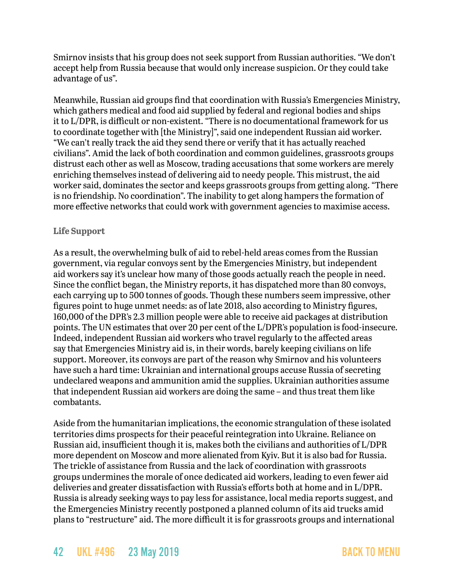Smirnov insists that his group does not seek support from Russian authorities. "We don't accept help from Russia because that would only increase suspicion. Or they could take advantage of us".

Meanwhile, Russian aid groups find that coordination with Russia's Emergencies Ministry, which gathers medical and food aid supplied by federal and regional bodies and ships it to L/DPR, is difficult or non-existent. "There is no documentational framework for us to coordinate together with [the Ministry]", said one independent Russian aid worker. "We can't really track the aid they send there or verify that it has actually reached civilians". Amid the lack of both coordination and common guidelines, grassroots groups distrust each other as well as Moscow, trading accusations that some workers are merely enriching themselves instead of delivering aid to needy people. This mistrust, the aid worker said, dominates the sector and keeps grassroots groups from getting along. "There is no friendship. No coordination". The inability to get along hampers the formation of more effective networks that could work with government agencies to maximise access.

#### **Life Support**

As a result, the overwhelming bulk of aid to rebel-held areas comes from the Russian government, via regular convoys sent by the Emergencies Ministry, but independent aid workers say it's unclear how many of those goods actually reach the people in need. Since the conflict began, the Ministry reports, it has dispatched more than 80 convoys, each carrying up to 500 tonnes of goods. Though these numbers seem impressive, other figures point to huge unmet needs: as of late 2018, also according to Ministry figures, 160,000 of the DPR's 2.3 million people were able to receive aid packages at distribution points. The UN estimates that over 20 per cent of the L/DPR's population is food-insecure. Indeed, independent Russian aid workers who travel regularly to the affected areas say that Emergencies Ministry aid is, in their words, barely keeping civilians on life support. Moreover, its convoys are part of the reason why Smirnov and his volunteers have such a hard time: Ukrainian and international groups accuse Russia of secreting undeclared weapons and ammunition amid the supplies. Ukrainian authorities assume that independent Russian aid workers are doing the same – and thus treat them like combatants.

Aside from the humanitarian implications, the economic strangulation of these isolated territories dims prospects for their peaceful reintegration into Ukraine. Reliance on Russian aid, insufficient though it is, makes both the civilians and authorities of L/DPR more dependent on Moscow and more alienated from Kyiv. But it is also bad for Russia. The trickle of assistance from Russia and the lack of coordination with grassroots groups undermines the morale of once dedicated aid workers, leading to even fewer aid deliveries and greater dissatisfaction with Russia's efforts both at home and in L/DPR. Russia is already seeking ways to pay less for assistance, local media reports suggest, and the Emergencies Ministry recently postponed a planned column of its aid trucks amid plans to "restructure" aid. The more difficult it is for grassroots groups and international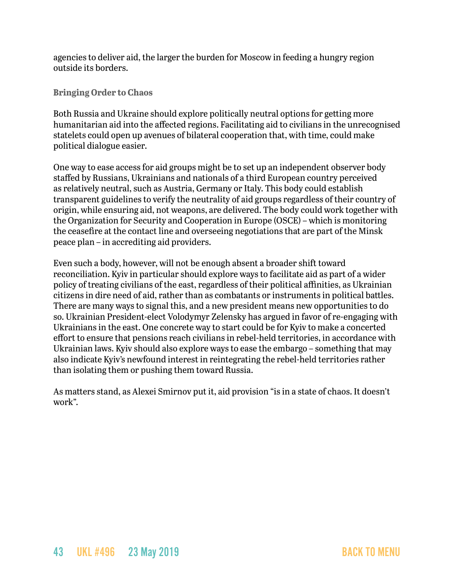agencies to deliver aid, the larger the burden for Moscow in feeding a hungry region outside its borders.

#### **Bringing Order to Chaos**

Both Russia and Ukraine should explore politically neutral options for getting more humanitarian aid into the affected regions. Facilitating aid to civilians in the unrecognised statelets could open up avenues of bilateral cooperation that, with time, could make political dialogue easier.

One way to ease access for aid groups might be to set up an independent observer body staffed by Russians, Ukrainians and nationals of a third European country perceived as relatively neutral, such as Austria, Germany or Italy. This body could establish transparent guidelines to verify the neutrality of aid groups regardless of their country of origin, while ensuring aid, not weapons, are delivered. The body could work together with the Organization for Security and Cooperation in Europe (OSCE) – which is monitoring the ceasefire at the contact line and overseeing negotiations that are part of the Minsk peace plan – in accrediting aid providers.

Even such a body, however, will not be enough absent a broader shift toward reconciliation. Kyiv in particular should explore ways to facilitate aid as part of a wider policy of treating civilians of the east, regardless of their political affinities, as Ukrainian citizens in dire need of aid, rather than as combatants or instruments in political battles. There are many ways to signal this, and a new president means new opportunities to do so. Ukrainian President-elect Volodymyr Zelensky has argued in favor of re-engaging with Ukrainians in the east. One concrete way to start could be for Kyiv to make a concerted effort to ensure that pensions reach civilians in rebel-held territories, in accordance with Ukrainian laws. Kyiv should also explore ways to ease the embargo – something that may also indicate Kyiv's newfound interest in reintegrating the rebel-held territories rather than isolating them or pushing them toward Russia.

As matters stand, as Alexei Smirnov put it, aid provision "is in a state of chaos. It doesn't work".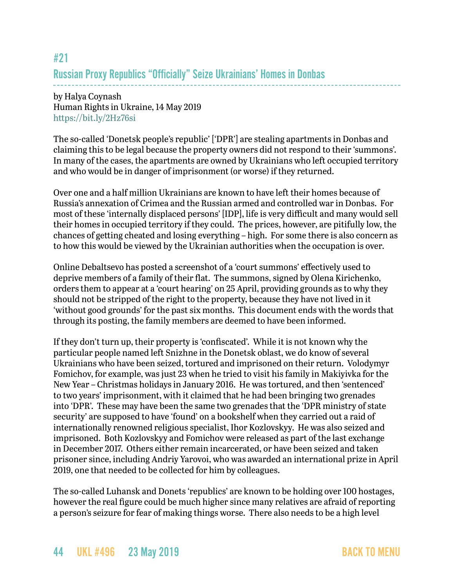# #21 Russian Proxy Republics "Officially" Seize Ukrainians' Homes in Donbas

by Halya Coynash Human Rights in Ukraine, 14 May 2019 <https://bit.ly/2Hz76si>

The so-called 'Donetsk people's republic' ['DPR'] are stealing apartments in Donbas and claiming this to be legal because the property owners did not respond to their 'summons'. In many of the cases, the apartments are owned by Ukrainians who left occupied territory and who would be in danger of imprisonment (or worse) if they returned.

Over one and a half million Ukrainians are known to have left their homes because of Russia's annexation of Crimea and the Russian armed and controlled war in Donbas. For most of these 'internally displaced persons' [IDP], life is very difficult and many would sell their homes in occupied territory if they could. The prices, however, are pitifully low, the chances of getting cheated and losing everything – high. For some there is also concern as to how this would be viewed by the Ukrainian authorities when the occupation is over.

Online Debaltsevo has posted a screenshot of a 'court summons' effectively used to deprive members of a family of their flat. The summons, signed by Olena Kirichenko, orders them to appear at a 'court hearing' on 25 April, providing grounds as to why they should not be stripped of the right to the property, because they have not lived in it 'without good grounds' for the past six months. This document ends with the words that through its posting, the family members are deemed to have been informed.

If they don't turn up, their property is 'confiscated'. While it is not known why the particular people named left Snizhne in the Donetsk oblast, we do know of several Ukrainians who have been seized, tortured and imprisoned on their return. Volodymyr Fomichov, for example, was just 23 when he tried to visit his family in Makiyivka for the New Year – Christmas holidays in January 2016. He was tortured, and then 'sentenced' to two years' imprisonment, with it claimed that he had been bringing two grenades into 'DPR'. These may have been the same two grenades that the 'DPR ministry of state security' are supposed to have 'found' on a bookshelf when they carried out a raid of internationally renowned religious specialist, Ihor Kozlovskyy. He was also seized and imprisoned. Both Kozlovskyy and Fomichov were released as part of the last exchange in December 2017. Others either remain incarcerated, or have been seized and taken prisoner since, including Andriy Yarovoi, who was awarded an international prize in April 2019, one that needed to be collected for him by colleagues.

The so-called Luhansk and Donets 'republics' are known to be holding over 100 hostages, however the real figure could be much higher since many relatives are afraid of reporting a person's seizure for fear of making things worse. There also needs to be a high level